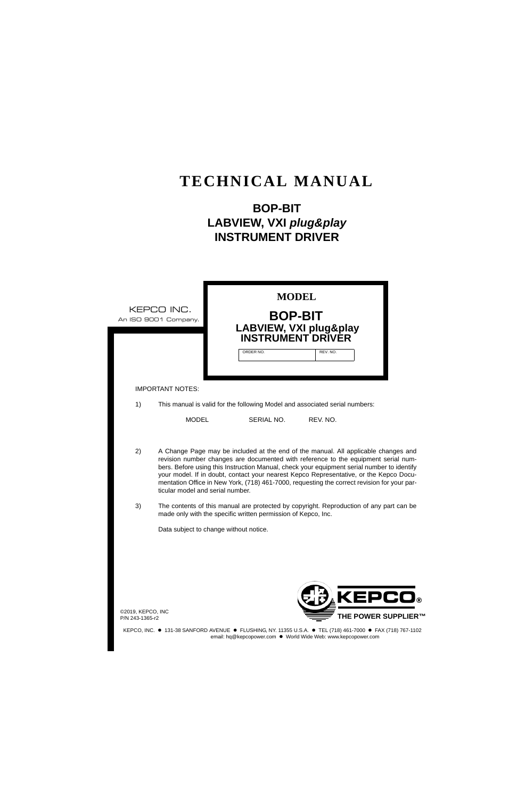# **TECHNICAL MANUAL**

# **BOP-BIT LABVIEW, VXI** *plug&play*  **INSTRUMENT DRIVER**

|                                      | <b>MODEL</b><br>KEPCO INC.<br><b>BOP-BIT</b><br>An ISO 9001 Company.<br>LABVIEW, VXI plug&play<br><b>INSTRUMENT DRIVER</b>                                                                                                                                                                                                                                                                                                                                                                          |  |
|--------------------------------------|-----------------------------------------------------------------------------------------------------------------------------------------------------------------------------------------------------------------------------------------------------------------------------------------------------------------------------------------------------------------------------------------------------------------------------------------------------------------------------------------------------|--|
|                                      | ORDER NO.<br>REV. NO                                                                                                                                                                                                                                                                                                                                                                                                                                                                                |  |
|                                      | <b>IMPORTANT NOTES:</b>                                                                                                                                                                                                                                                                                                                                                                                                                                                                             |  |
| 1)                                   | This manual is valid for the following Model and associated serial numbers:                                                                                                                                                                                                                                                                                                                                                                                                                         |  |
|                                      | <b>MODEL</b><br>SERIAL NO.<br>REV. NO.                                                                                                                                                                                                                                                                                                                                                                                                                                                              |  |
| 2)                                   | A Change Page may be included at the end of the manual. All applicable changes and<br>revision number changes are documented with reference to the equipment serial num-<br>bers. Before using this Instruction Manual, check your equipment serial number to identify<br>your model. If in doubt, contact your nearest Kepco Representative, or the Kepco Docu-<br>mentation Office in New York, (718) 461-7000, requesting the correct revision for your par-<br>ticular model and serial number. |  |
| 3)                                   | The contents of this manual are protected by copyright. Reproduction of any part can be<br>made only with the specific written permission of Kepco, Inc.                                                                                                                                                                                                                                                                                                                                            |  |
|                                      | Data subject to change without notice.                                                                                                                                                                                                                                                                                                                                                                                                                                                              |  |
|                                      |                                                                                                                                                                                                                                                                                                                                                                                                                                                                                                     |  |
|                                      |                                                                                                                                                                                                                                                                                                                                                                                                                                                                                                     |  |
| @2019, KEPCO, INC<br>P/N 243-1365-r2 | <b>KEPCO®</b><br><b>THE POWER SUPPLIER™</b>                                                                                                                                                                                                                                                                                                                                                                                                                                                         |  |

KEPCO, INC. • 131-38 SANFORD AVENUE • FLUSHING, NY. 11355 U.S.A. • TEL (718) 461-7000 • FAX (718) 767-1102 email: hq@kepcopower.com . World Wide Web: www.kepcopower.com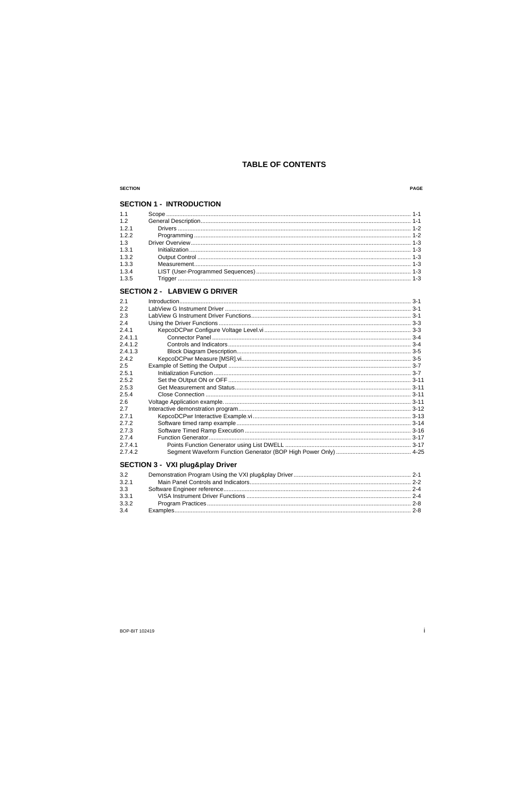## PAGE

## **SECTION 1 - INTRODUCTION**

| 1.1   |  |
|-------|--|
| 1.2   |  |
| 1.2.1 |  |
| 1.2.2 |  |
| 1.3   |  |
| 1.3.1 |  |
| 1.3.2 |  |
| 1.3.3 |  |
| 1.3.4 |  |
| 1.3.5 |  |

## **SECTION 2 - LABVIEW G DRIVER**

# **SECTION 3 - VXI plug&play Driver**

| 3.2   |  |
|-------|--|
| 3.2.1 |  |
| 3.3   |  |
| 3.3.1 |  |
| 3.3.2 |  |
| 3.4   |  |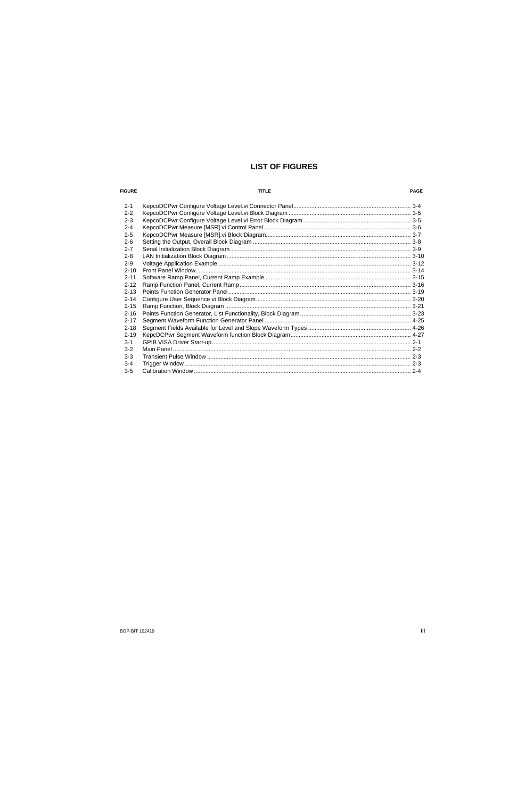# **LIST OF FIGURES**

#### **FIGURE**

#### **TITLE**

#### PAGE

| $2 - 1$  |  |
|----------|--|
| $2 - 2$  |  |
| $2 - 3$  |  |
| $2 - 4$  |  |
| $2 - 5$  |  |
| $2 - 6$  |  |
| $2 - 7$  |  |
| $2 - 8$  |  |
| $2-9$    |  |
| $2 - 10$ |  |
| $2 - 11$ |  |
| $2 - 12$ |  |
| $2 - 13$ |  |
| $2 - 14$ |  |
| $2 - 15$ |  |
| $2 - 16$ |  |
| $2 - 17$ |  |
| $2 - 18$ |  |
| $2 - 19$ |  |
| $3 - 1$  |  |
| $3 - 2$  |  |
| $3-3$    |  |
| $3 - 4$  |  |
| $3 - 5$  |  |
|          |  |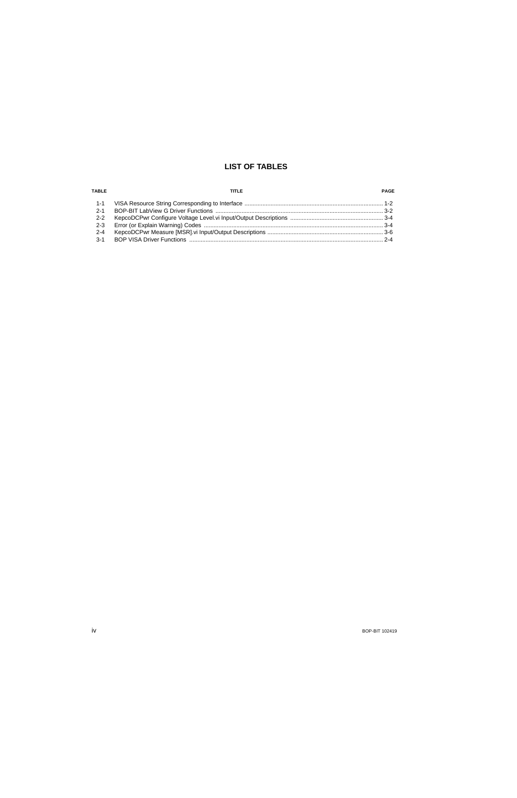## **LIST OF TABLES**

| TABLE   | TITI F | PAGE |
|---------|--------|------|
|         |        |      |
| $2 - 1$ |        |      |
| $2 - 2$ |        |      |
| $2 - 3$ |        |      |
| $2 - 4$ |        |      |
| $3 - 1$ |        |      |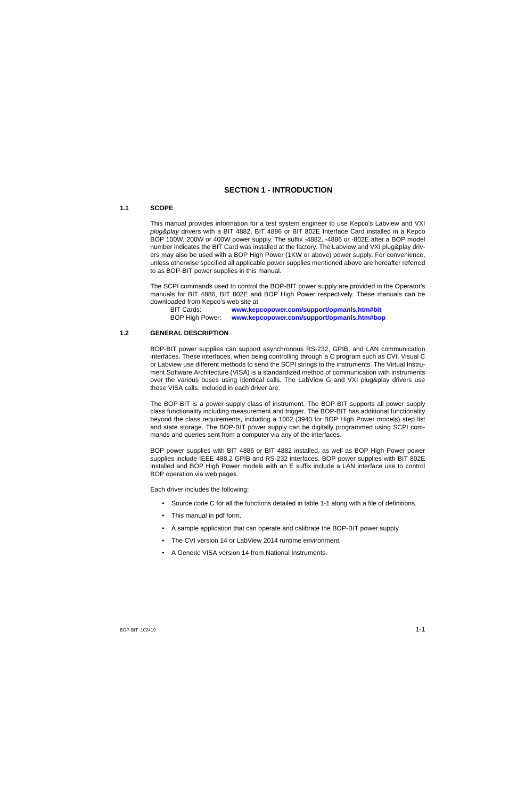## **SECTION 1 - INTRODUCTION**

## <span id="page-6-1"></span><span id="page-6-0"></span>**1.1 SCOPE**

<span id="page-6-3"></span>This manual provides information for a test system engineer to use Kepco's Labview and VXI *plug&play* drivers with a BIT 4882, BIT 4886 or BIT 802E Interface Card installed in a Kepco BOP 100W, 200W or 400W power supply. The suffix -4882, -4886 or -802E after a BOP model number indicates the BIT Card was installed at the factory. The Labview and VXI plug&play drivers may also be used with a BOP High Power (1KW or above) power supply. For convenience, unless otherwise specified all applicable power supplies mentioned above are hereafter referred to as BOP-BIT power supplies in this manual.

[The SCPI commands used to control the BOP-BIT power supply are provided in the Operator's](http://www.kepcopower.com/support/opmanls.htm#bit) [manuals for BIT 4886, BIT 802E and BOP High Power respectively. These manuals can be](http://www.kepcopower.com/support/opmanls.htm#bit) downloaded from Kepco's web site at

[BIT Cards:](http://www.kepcopower.com/support/opmanls.htm#bit) **www.kepcopower.com/support/opmanls.htm#bit** BOP High Power: **[www.kepcopower.com/support/opmanls.htm#bop](http://www.kepcopower.com/support/opmanls.htm#bop)**

## <span id="page-6-2"></span>**1.2 GENERAL DESCRIPTION**

BOP-BIT power supplies can support asynchronous RS-232, GPIB, and LAN communication interfaces. These interfaces, when being controlling through a C program such as CVI, Visual C or Labview use different methods to send the SCPI strings to the instruments. The Virtual Instrument Software Architecture (VISA) is a standardized method of communication with instruments over the various buses using identical calls. The LabView G and VXI plug&play drivers use these VISA calls. Included in each driver are:

The BOP-BIT is a power supply class of instrument. The BOP-BIT supports all power supply class functionality including measurement and trigger. The BOP-BIT has additional functionality beyond the class requirements, including a 1002 (3940 for BOP High Power models) step list and state storage. The BOP-BIT power supply can be digitally programmed using SCPI commands and queries sent from a computer via any of the interfaces.

BOP power supplies with BIT 4886 or BIT 4882 installed, as well as BOP High Power power supplies include IEEE 488.2 GPIB and RS-232 interfaces. BOP power supplies with BIT 802E installed and BOP High Power models with an E suffix include a LAN interface use to control BOP operation via web pages.

Each driver includes the following:

- Source code C for all the functions detailed in table [1-1](#page-7-2) along with a file of definitions.
- This manual in pdf form.
- A sample application that can operate and calibrate the BOP-BIT power supply
- The CVI version 14 or LabView 2014 runtime environment.
- A Generic VISA version 14 from National Instruments.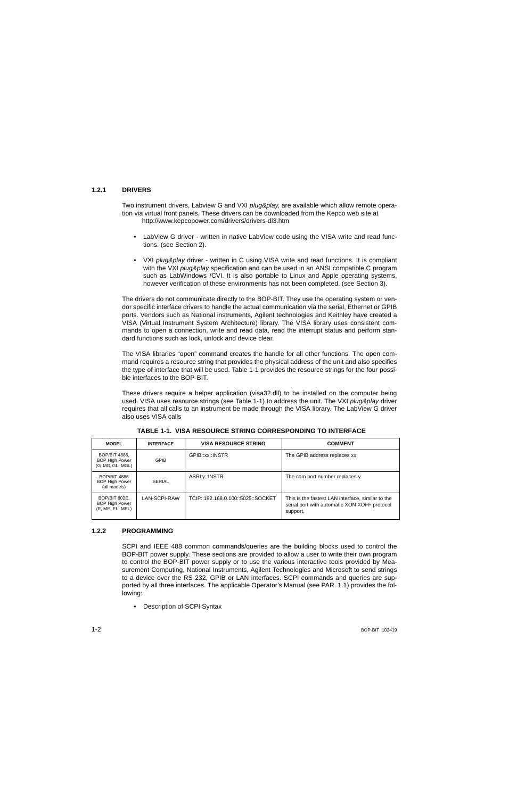## <span id="page-7-0"></span>**1.2.1 DRIVERS**

Two instrument drivers, Labview G and VXI *plug&play,* are available which allow remote operation via virtual front panels. These drivers can be downloaded from the Kepco web site at http://www.kepcopower.com/drivers/drivers-dl3.htm

- LabView G driver written in native LabView code using the VISA write and read functions. (see Section [2](#page-10-4)).
- VXI *plug&play* driver written in C using VISA write and read functions. It is compliant with the VXI *plug&play* specification and can be used in an ANSI compatible C program such as LabWindows /CVI. It is also portable to Linux and Apple operating systems, however verification of these environments has not been completed. (see Section [3](#page-38-3)).

The drivers do not communicate directly to the BOP-BIT. They use the operating system or vendor specific interface drivers to handle the actual communication via the serial, Ethernet or GPIB ports. Vendors such as National instruments, Agilent technologies and Keithley have created a VISA (Virtual Instrument System Architecture) library. The VISA library uses consistent commands to open a connection, write and read data, read the interrupt status and perform standard functions such as lock, unlock and device clear.

The VISA libraries "open" command creates the handle for all other functions. The open command requires a resource string that provides the physical address of the unit and also specifies the type of interface that will be used. Table [1-1](#page-7-2) provides the resource strings for the four possible interfaces to the BOP-BIT.

These drivers require a helper application (visa32.dll) to be installed on the computer being used. VISA uses resource strings (see Table [1-1](#page-7-2)) to address the unit. The VXI *plug&play* driver requires that all calls to an instrument be made through the VISA library. The LabView G driver also uses VISA calls

<span id="page-7-2"></span>

| <b>MODEL</b>                                                 | <b>INTERFACE</b> | <b>VISA RESOURCE STRING</b>       | <b>COMMENT</b>                                                                                                |
|--------------------------------------------------------------|------------------|-----------------------------------|---------------------------------------------------------------------------------------------------------------|
| BOP/BIT 4886,<br><b>BOP High Power</b><br>(G, MG, GL, MGL)   | <b>GPIB</b>      | GPIB::xx::INSTR                   | The GPIB address replaces xx.                                                                                 |
| <b>BOP/BIT 4886</b><br><b>BOP High Power</b><br>(all models) | <b>SERIAL</b>    | ASRLy::INSTR                      | The com port number replaces y.                                                                               |
| BOP/BIT 802E,<br><b>BOP High Power</b><br>(E, ME, EL, MEL)   | LAN-SCPI-RAW     | TCIP::192.168.0.100::5025::SOCKET | This is the fastest LAN interface, similar to the<br>serial port with automatic XON XOFF protocol<br>support. |

<span id="page-7-3"></span>**TABLE 1-1. VISA RESOURCE STRING CORRESPONDING TO INTERFACE**

#### <span id="page-7-1"></span>**1.2.2 PROGRAMMING**

SCPI and IEEE 488 common commands/queries are the building blocks used to control the BOP-BIT power supply. These sections are provided to allow a user to write their own program to control the BOP-BIT power supply or to use the various interactive tools provided by Measurement Computing, National Instruments, Agilent Technologies and Microsoft to send strings to a device over the RS 232, GPIB or LAN interfaces. SCPI commands and queries are supported by all three interfaces. The applicable Operator's Manual (see PAR. [1.1\)](#page-6-1) provides the following:

• Description of SCPI Syntax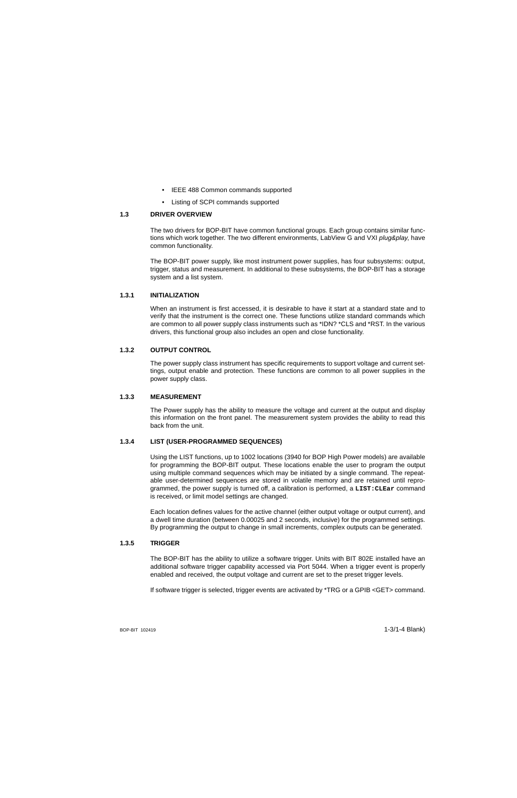- IEEE 488 Common commands supported
- Listing of SCPI commands supported

## <span id="page-8-0"></span>**1.3 DRIVER OVERVIEW**

The two drivers for BOP-BIT have common functional groups. Each group contains similar functions which work together. The two different environments, LabView G and VXI *plug&play*, have common functionality.

The BOP-BIT power supply, like most instrument power supplies, has four subsystems: output, trigger, status and measurement. In additional to these subsystems, the BOP-BIT has a storage system and a list system.

## <span id="page-8-1"></span>**1.3.1 INITIALIZATION**

When an instrument is first accessed, it is desirable to have it start at a standard state and to verify that the instrument is the correct one. These functions utilize standard commands which are common to all power supply class instruments such as \*IDN? \*CLS and \*RST. In the various drivers, this functional group also includes an open and close functionality.

## <span id="page-8-2"></span>**1.3.2 OUTPUT CONTROL**

The power supply class instrument has specific requirements to support voltage and current settings, output enable and protection. These functions are common to all power supplies in the power supply class.

#### <span id="page-8-3"></span>**1.3.3 MEASUREMENT**

The Power supply has the ability to measure the voltage and current at the output and display this information on the front panel. The measurement system provides the ability to read this back from the unit.

## <span id="page-8-4"></span>**1.3.4 LIST (USER-PROGRAMMED SEQUENCES)**

Using the LIST functions, up to 1002 locations (3940 for BOP High Power models) are available for programming the BOP-BIT output. These locations enable the user to program the output using multiple command sequences which may be initiated by a single command. The repeatable user-determined sequences are stored in volatile memory and are retained until reprogrammed, the power supply is turned off, a calibration is performed, a **LIST:CLEar** command is received, or limit model settings are changed.

Each location defines values for the active channel (either output voltage or output current), and a dwell time duration (between 0.00025 and 2 seconds, inclusive) for the programmed settings. By programming the output to change in small increments, complex outputs can be generated.

## <span id="page-8-5"></span>**1.3.5 TRIGGER**

The BOP-BIT has the ability to utilize a software trigger. Units with BIT 802E installed have an additional software trigger capability accessed via Port 5044. When a trigger event is properly enabled and received, the output voltage and current are set to the preset trigger levels.

If software trigger is selected, trigger events are activated by \*TRG or a GPIB <GET> command.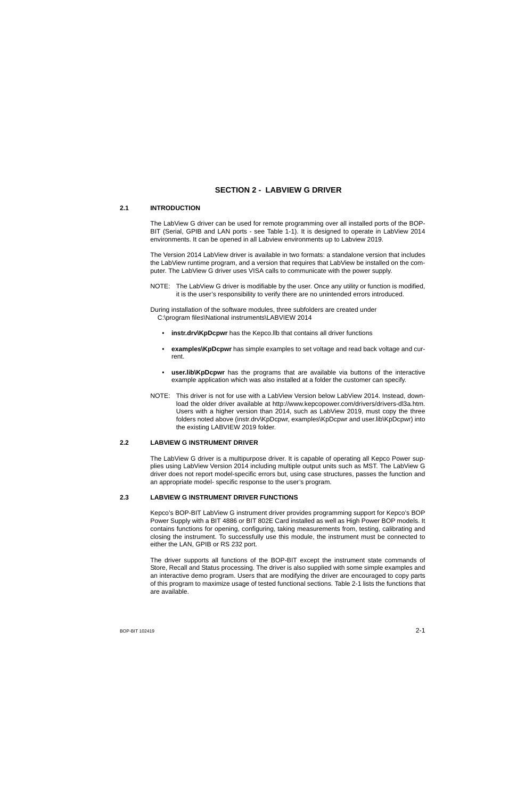# <span id="page-10-4"></span>**SECTION 2 - LABVIEW G DRIVER**

#### <span id="page-10-1"></span><span id="page-10-0"></span>**2.1 INTRODUCTION**

The LabView G driver can be used for remote programming over all installed ports of the BOP-BIT (Serial, GPIB and LAN ports - see Table [1-1\)](#page-7-3). It is designed to operate in LabView 2014 environments. It can be opened in all Labview environments up to Labview 2019.

The Version 2014 LabView driver is available in two formats: a standalone version that includesthe LabView runtime program, and a version that requires that LabView be installed on the computer. The LabView G driver uses VISA calls to communicate with the power supply.

NOTE: The LabView G driver is modifiable by the user. Once any utility or function is modified, it is the user's responsibility to verify there are no unintended errors introduced.

During installation of the software modules, three subfolders are created under C:\program files\National instruments\LABVIEW 2014

- **instr.drv\KpDcpwr** has the Kepco.llb that contains all driver functions
- **examples\KpDcpwr** has simple examples to set voltage and read back voltage and current.
- **user.lib\KpDcpwr** has the programs that are available via buttons of the interactive example application which was also installed at a folder the customer can specify.
- NOTE: This driver is not for use with a LabView Version below LabView 2014. Instead, download the older driver available at http://www.kepcopower.com/drivers/drivers-dl3a.htm. Users with a higher version than 2014, such as LabView 2019, must copy the three folders noted above (instr.drv\KpDcpwr, examples\KpDcpwr and user.lib\KpDcpwr) into the existing LABVIEW 2019 folder.

## <span id="page-10-2"></span>**2.2 LABVIEW G INSTRUMENT DRIVER**

The LabView G driver is a multipurpose driver. It is capable of operating all Kepco Power supplies using LabView Version 2014 including multiple output units such as MST. The LabView G driver does not report model-specific errors but, using case structures, passes the function and an appropriate model- specific response to the user's program.

#### <span id="page-10-3"></span>**2.3 LABVIEW G INSTRUMENT DRIVER FUNCTIONS**

Kepco's BOP-BIT LabView G instrument driver provides programming support for Kepco's BOP Power Supply with a BIT 4886 or BIT 802E Card installed as well as High Power BOP models. It contains functions for opening, configuring, taking measurements from, testing, calibrating and closing the instrument. To successfully use this module, the instrument must be connected to either the LAN, GPIB or RS 232 port.

The driver supports all functions of the BOP-BIT except the instrument state commands of Store, Recall and Status processing. The driver is also supplied with some simple examples and an interactive demo program. Users that are modifying the driver are encouraged to copy parts of this program to maximize usage of tested functional sections. Table [2-1](#page-11-0) lists the functions that are available.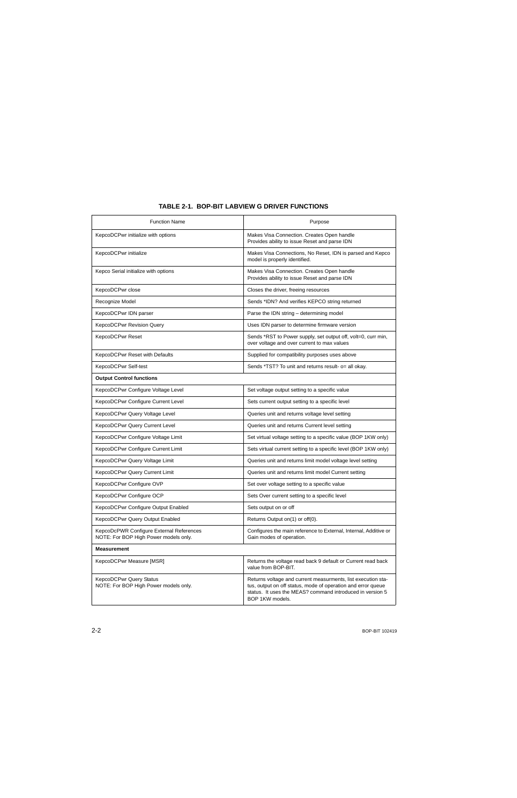<span id="page-11-0"></span>

| <b>Function Name</b>                                                              | Purpose                                                                                                                                                                                                      |
|-----------------------------------------------------------------------------------|--------------------------------------------------------------------------------------------------------------------------------------------------------------------------------------------------------------|
| KepcoDCPwr initialize with options                                                | Makes Visa Connection. Creates Open handle<br>Provides ability to issue Reset and parse IDN                                                                                                                  |
| KepcoDCPwr initialize                                                             | Makes Visa Connections, No Reset, IDN is parsed and Kepco<br>model is properly identified.                                                                                                                   |
| Kepco Serial initialize with options                                              | Makes Visa Connection. Creates Open handle<br>Provides ability to issue Reset and parse IDN                                                                                                                  |
| KepcoDCPwr close                                                                  | Closes the driver, freeing resources                                                                                                                                                                         |
| Recognize Model                                                                   | Sends *IDN? And verifies KEPCO string returned                                                                                                                                                               |
| KepcoDCPwr IDN parser                                                             | Parse the IDN string - determining model                                                                                                                                                                     |
| <b>KepcoDCPwr Revision Query</b>                                                  | Uses IDN parser to determine firmware version                                                                                                                                                                |
| KepcoDCPwr Reset                                                                  | Sends *RST to Power supply, set output off, volt=0, curr min,<br>over voltage and over current to max values                                                                                                 |
| KepcoDCPwr Reset with Defaults                                                    | Supplied for compatibility purposes uses above                                                                                                                                                               |
| KepcoDCPwr Self-test                                                              | Sends *TST? To unit and returns result- o= all okay.                                                                                                                                                         |
| <b>Output Control functions</b>                                                   |                                                                                                                                                                                                              |
| KepcoDCPwr Configure Voltage Level                                                | Set voltage output setting to a specific value                                                                                                                                                               |
| KepcoDCPwr Configure Current Level                                                | Sets current output setting to a specific level                                                                                                                                                              |
| KepcoDCPwr Query Voltage Level                                                    | Queries unit and returns voltage level setting                                                                                                                                                               |
| KepcoDCPwr Query Current Level                                                    | Queries unit and returns Current level setting                                                                                                                                                               |
| KepcoDCPwr Configure Voltage Limit                                                | Set virtual voltage setting to a specific value (BOP 1KW only)                                                                                                                                               |
| KepcoDCPwr Configure Current Limit                                                | Sets virtual current setting to a specific level (BOP 1KW only)                                                                                                                                              |
| KepcoDCPwr Query Voltage Limit                                                    | Queries unit and returns limit model voltage level setting                                                                                                                                                   |
| KepcoDCPwr Query Current Limit                                                    | Queries unit and returns limit model Current setting                                                                                                                                                         |
| KepcoDCPwr Configure OVP                                                          | Set over voltage setting to a specific value                                                                                                                                                                 |
| KepcoDCPwr Configure OCP                                                          | Sets Over current setting to a specific level                                                                                                                                                                |
| KepcoDCPwr Configure Output Enabled                                               | Sets output on or off                                                                                                                                                                                        |
| KepcoDCPwr Query Output Enabled                                                   | Returns Output on(1) or off(0).                                                                                                                                                                              |
| KepcoDcPWR Configure External References<br>NOTE: For BOP High Power models only. | Configures the main reference to External, Internal, Additive or<br>Gain modes of operation.                                                                                                                 |
| <b>Measurement</b>                                                                |                                                                                                                                                                                                              |
| KepcoDCPwr Measure [MSR]                                                          | Returns the voltage read back 9 default or Current read back<br>value from BOP-BIT.                                                                                                                          |
| KepcoDCPwr Query Status<br>NOTE: For BOP High Power models only.                  | Returns voltage and current measurments, list execution sta-<br>tus, output on off status, mode of operation and error queue<br>status. It uses the MEAS? command introduced in version 5<br>BOP 1KW models. |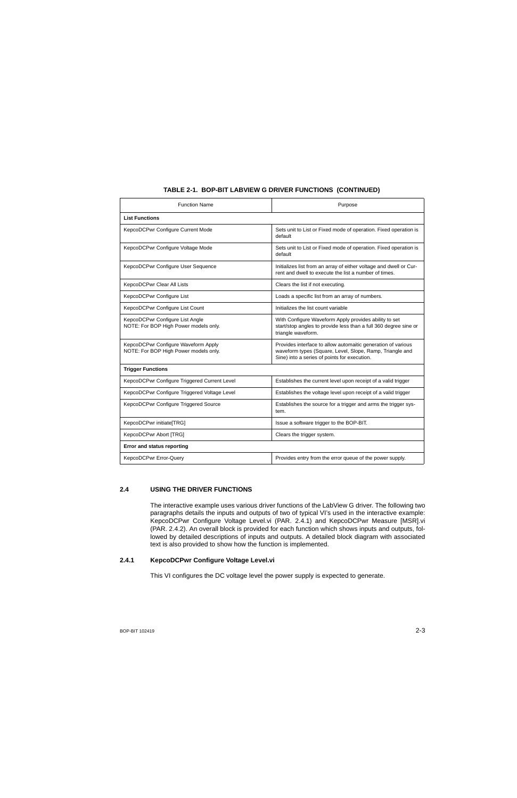| <b>Function Name</b>                                                         | Purpose                                                                                                                                                                  |  |
|------------------------------------------------------------------------------|--------------------------------------------------------------------------------------------------------------------------------------------------------------------------|--|
| <b>List Functions</b>                                                        |                                                                                                                                                                          |  |
| KepcoDCPwr Configure Current Mode                                            | Sets unit to List or Fixed mode of operation. Fixed operation is<br>default                                                                                              |  |
| KepcoDCPwr Configure Voltage Mode                                            | Sets unit to List or Fixed mode of operation. Fixed operation is<br>default                                                                                              |  |
| KepcoDCPwr Configure User Sequence                                           | Initializes list from an array of either voltage and dwell or Cur-<br>rent and dwell to execute the list a number of times.                                              |  |
| KepcoDCPwr Clear All Lists                                                   | Clears the list if not executing.                                                                                                                                        |  |
| KepcoDCPwr Configure List                                                    | Loads a specific list from an array of numbers.                                                                                                                          |  |
| KepcoDCPwr Configure List Count                                              | Initializes the list count variable                                                                                                                                      |  |
| KepcoDCPwr Configure List Angle<br>NOTE: For BOP High Power models only.     | With Configure Waveform Apply provides ability to set<br>start/stop angles to provide less than a full 360 degree sine or<br>triangle waveform.                          |  |
| KepcoDCPwr Configure Waveform Apply<br>NOTE: For BOP High Power models only. | Provides interface to allow automaitic generation of various<br>waveform types (Square, Level, Slope, Ramp, Triangle and<br>Sine) into a series of points for execution. |  |
| <b>Trigger Functions</b>                                                     |                                                                                                                                                                          |  |
| KepcoDCPwr Configure Triggered Current Level                                 | Establishes the current level upon receipt of a valid trigger                                                                                                            |  |
| KepcoDCPwr Configure Triggered Voltage Level                                 | Establishes the voltage level upon receipt of a valid trigger                                                                                                            |  |
| KepcoDCPwr Configure Triggered Source                                        | Establishes the source for a trigger and arms the trigger sys-<br>tem.                                                                                                   |  |
| KepcoDCPwr initiate[TRG]                                                     | Issue a software trigger to the BOP-BIT.                                                                                                                                 |  |
| KepcoDCPwr Abort [TRG]                                                       | Clears the trigger system.                                                                                                                                               |  |
| <b>Error and status reporting</b>                                            |                                                                                                                                                                          |  |
| KepcoDCPwr Error-Query                                                       | Provides entry from the error queue of the power supply.                                                                                                                 |  |

## <span id="page-12-0"></span>**2.4 USING THE DRIVER FUNCTIONS**

The interactive example uses various driver functions of the LabView G driver. The following two paragraphs details the inputs and outputs of two of typical VI's used in the interactive example: KepcoDCPwr Configure Voltage Level.vi (PAR. [2.4.1\)](#page-12-1) and KepcoDCPwr Measure [MSR].vi (PAR. [2.4.2](#page-14-1)). An overall block is provided for each function which shows inputs and outputs, followed by detailed descriptions of inputs and outputs. A detailed block diagram with associated text is also provided to show how the function is implemented.

## <span id="page-12-1"></span>**2.4.1 KepcoDCPwr Configure Voltage Level.vi**

This VI configures the DC voltage level the power supply is expected to generate.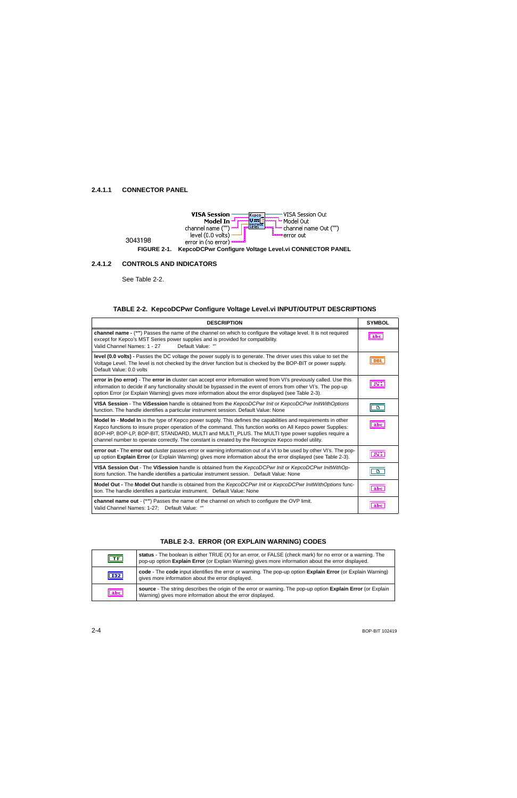<span id="page-13-0"></span>

#### <span id="page-13-2"></span><span id="page-13-1"></span>**2.4.1.2 CONTROLS AND INDICATORS**

See Table [2-2](#page-13-3).

## **TABLE 2-2. KepcoDCPwr Configure Voltage Level.vi INPUT/OUTPUT DESCRIPTIONS**

<span id="page-13-3"></span>

| <b>DESCRIPTION</b>                                                                                                                                                                                                                                                                                                                                                                                                                      | <b>SYMBOL</b>  |
|-----------------------------------------------------------------------------------------------------------------------------------------------------------------------------------------------------------------------------------------------------------------------------------------------------------------------------------------------------------------------------------------------------------------------------------------|----------------|
| channel name - ("") Passes the name of the channel on which to configure the voltage level. It is not required<br>except for Kepco's MST Series power supplies and is provided for compatibility.<br>Default Value: "<br>Valid Channel Names: 1 - 27                                                                                                                                                                                    | abc            |
| level (0.0 volts) - Passes the DC voltage the power supply is to generate. The driver uses this value to set the<br>Voltage Level. The level is not checked by the driver function but is checked by the BOP-BIT or power supply.<br>Default Value: 0.0 volts                                                                                                                                                                           | <b>DBL</b>     |
| error in (no error) - The error in cluster can accept error information wired from VI's previously called. Use this<br>information to decide if any functionality should be bypassed in the event of errors from other VI's. The pop-up<br>option Error (or Explain Warning) gives more information about the error displayed (see Table 2-3).                                                                                          | <b>SSY</b>     |
| VISA Session - The ViSession handle is obtained from the KepcoDCPwr Init or KepcoDCPwr InitWithOptions<br>function. The handle identifies a particular instrument session. Default Value: None                                                                                                                                                                                                                                          | D              |
| Model In - Model In is the type of Kepco power supply. This defines the capabilities and requirements in other<br>Kepco functions to insure proper operation of the command. This function works on All Kepco power Supplies:<br>BOP-HP, BOP-LP, BOP-BIT, STANDARD, MULTI and MULTI_PLUS. The MULTI type power supplies require a<br>channel number to operate correctly. The constant is created by the Recognize Kepco model utility. | abc            |
| error out - The error out cluster passes error or warning information out of a VI to be used by other VI's. The pop-<br>up option Explain Error (or Explain Warning) gives more information about the error displayed (see Table 2-3).                                                                                                                                                                                                  | 53             |
| VISA Session Out - The ViSession handle is obtained from the KepcoDCPwr Init or KepcoDCPwr InitWithOp-<br>tions function. The handle identifies a particular instrument session.  Default Value: None                                                                                                                                                                                                                                   | $\blacksquare$ |
| Model Out - The Model Out handle is obtained from the KepcoDCPwr Init or KepcoDCPwr InitWithOptions func-<br>tion. The handle identifies a particular instrument.  Default Value: None                                                                                                                                                                                                                                                  | abc            |
| <b>channel name out</b> - ("") Passes the name of the channel on which to configure the OVP limit.<br>Valid Channel Names: 1-27: Default Value: ""                                                                                                                                                                                                                                                                                      |                |

<span id="page-13-4"></span>

| $\boxed{11}$ | status - The boolean is either TRUE (X) for an error, or FALSE (check mark) for no error or a warning. The<br>pop-up option Explain Error (or Explain Warning) gives more information about the error displayed. |
|--------------|------------------------------------------------------------------------------------------------------------------------------------------------------------------------------------------------------------------|
| <b>132</b>   | code - The code input identifies the error or warning. The pop-up option Explain Error (or Explain Warning)<br>gives more information about the error displayed.                                                 |
| abc          | source - The string describes the origin of the error or warning. The pop-up option Explain Error (or Explain<br>Warning) gives more information about the error displayed.                                      |

#### **TABLE 2-3. ERROR (OR EXPLAIN WARNING) CODES**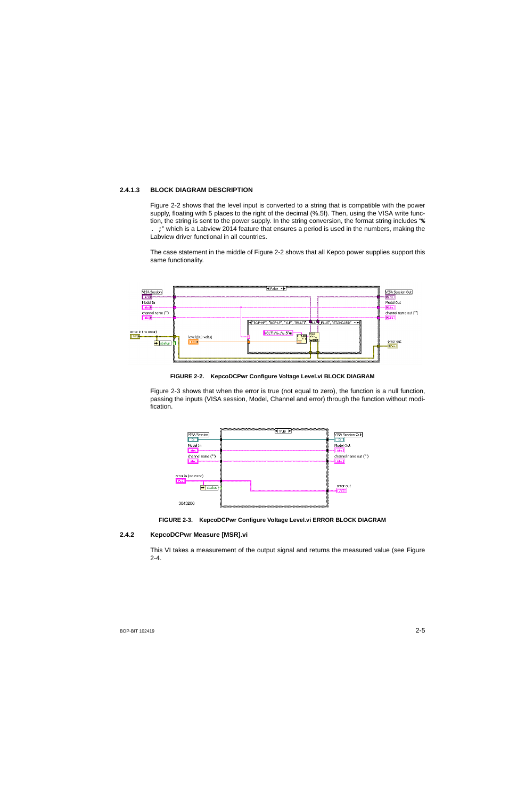## <span id="page-14-0"></span>**2.4.1.3 BLOCK DIAGRAM DESCRIPTION**

Figure [2-2](#page-14-2) shows that the level input is converted to a string that is compatible with the power supply, floating with 5 places to the right of the decimal (%.5f). Then, using the VISA write function, the string is sent to the power supply. In the string conversion, the format string includes "**% . ;**" which is a Labview 2014 feature that ensures a period is used in the numbers, making the Labview driver functional in all countries.

The case statement in the middle of Figure [2-2](#page-14-2) shows that all Kepco power supplies support this same functionality.



#### **FIGURE 2-2. KepcoDCPwr Configure Voltage Level.vi BLOCK DIAGRAM**

<span id="page-14-2"></span>Figure [2-3](#page-14-3) shows that when the error is true (not equal to zero), the function is a null function, passing the inputs (VISA session, Model, Channel and error) through the function without modification.





#### <span id="page-14-3"></span><span id="page-14-1"></span>**2.4.2 KepcoDCPwr Measure [MSR].vi**

This VI takes a measurement of the output signal and returns the measured value (see Figure  $2 - 4$ .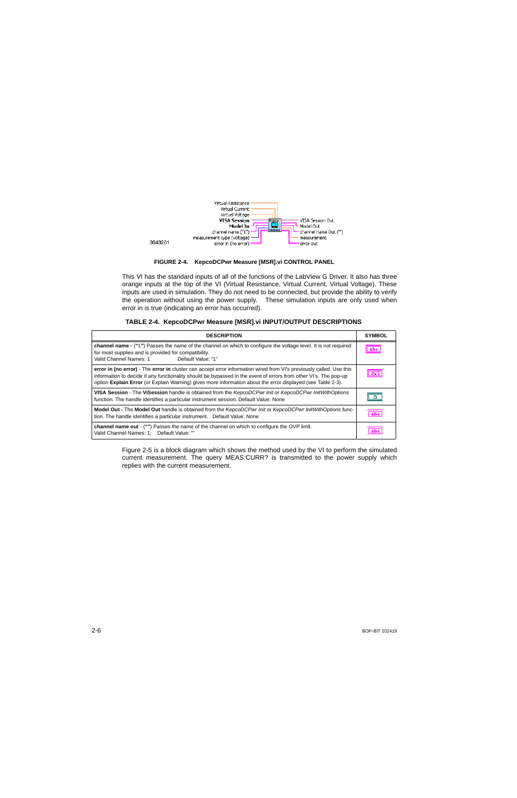



<span id="page-15-0"></span>This VI has the standard inputs of all of the functions of the LabView G Driver. It also has three orange inputs at the top of the VI (Virtual Resistance, Virtual Current, Virtual Voltage). These inputs are used in simulation. They do not need to be connected, but provide the ability to verify the operation without using the power supply. These simulation inputs are only used when error in is true (indicating an error has occurred).

| TABLE 2-4. KepcoDCPwr Measure [MSR].vi INPUT/OUTPUT DESCRIPTIONS |  |  |  |
|------------------------------------------------------------------|--|--|--|
|                                                                  |  |  |  |

<span id="page-15-1"></span>

| <b>DESCRIPTION</b>                                                                                                                                                                                                                                                                                                                                     | <b>SYMBOL</b> |  |  |
|--------------------------------------------------------------------------------------------------------------------------------------------------------------------------------------------------------------------------------------------------------------------------------------------------------------------------------------------------------|---------------|--|--|
| channel name - ("1") Passes the name of the channel on which to configure the voltage level. It is not required<br>for most supplies and is provided for compatibility.<br>Valid Channel Names: 1<br>Default Value: "1"                                                                                                                                |               |  |  |
| error in (no error) - The error in cluster can accept error information wired from VI's previously called. Use this<br>information to decide if any functionality should be bypassed in the event of errors from other VI's. The pop-up<br>option Explain Error (or Explain Warning) gives more information about the error displayed (see Table 2-3). | 556           |  |  |
| VISA Session - The ViSession handle is obtained from the KepcoDCPwr Init or KepcoDCPwr InitWithOptions<br>function. The handle identifies a particular instrument session. Default Value: None                                                                                                                                                         |               |  |  |
| Model Out - The Model Out handle is obtained from the KepcoDCPwr Init or KepcoDCPwr InitWithOptions func-<br>tion. The handle identifies a particular instrument. Default Value: None                                                                                                                                                                  |               |  |  |
| <b>channel name out</b> - ("") Passes the name of the channel on which to configure the OVP limit.<br>Valid Channel Names: 1: Default Value. ""                                                                                                                                                                                                        |               |  |  |

Figure [2-5](#page-16-2) is a block diagram which shows the method used by the VI to perform the simulated current measurement. The query MEAS:CURR? is transmitted to the power supply which replies with the current measurement.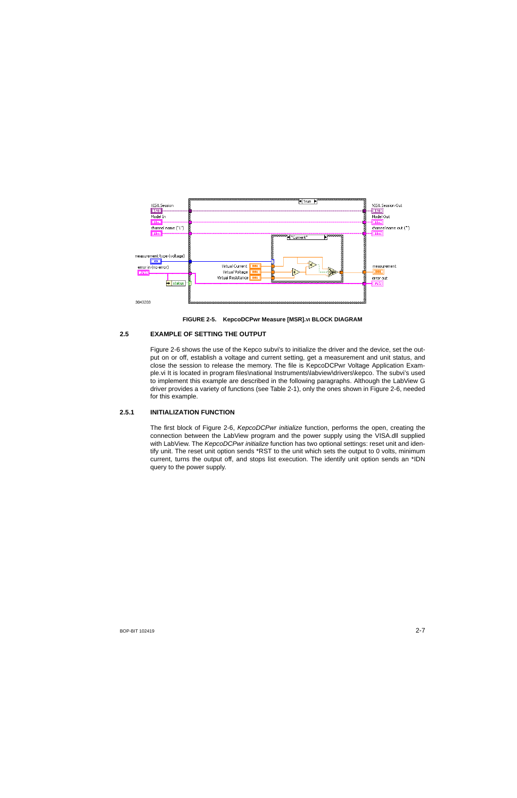



## <span id="page-16-2"></span><span id="page-16-0"></span>**2.5 EXAMPLE OF SETTING THE OUTPUT**

Figure [2-6](#page-17-0) shows the use of the Kepco subvi's to initialize the driver and the device, set the output on or off, establish a voltage and current setting, get a measurement and unit status, and close the session to release the memory. The file is KepcoDCPwr Voltage Application Example.vi It is located in program files\national Instruments\labview\drivers\kepco. The subvi's used to implement this example are described in the following paragraphs. Although the LabView G driver provides a variety of functions (see Table [2-1](#page-11-0)), only the ones shown in Figure [2-6](#page-17-0), needed for this example.

## <span id="page-16-1"></span>**2.5.1 INITIALIZATION FUNCTION**

The first block of Figure [2-6](#page-17-0), *KepcoDCPwr initialize* function, performs the open, creating the connection between the LabView program and the power supply using the VISA.dll supplied with LabView. The *KepcoDCPwr initialize* function has two optional settings: reset unit and identify unit. The reset unit option sends \*RST to the unit which sets the output to 0 volts, minimum current, turns the output off, and stops list execution. The identify unit option sends an \*IDN query to the power supply.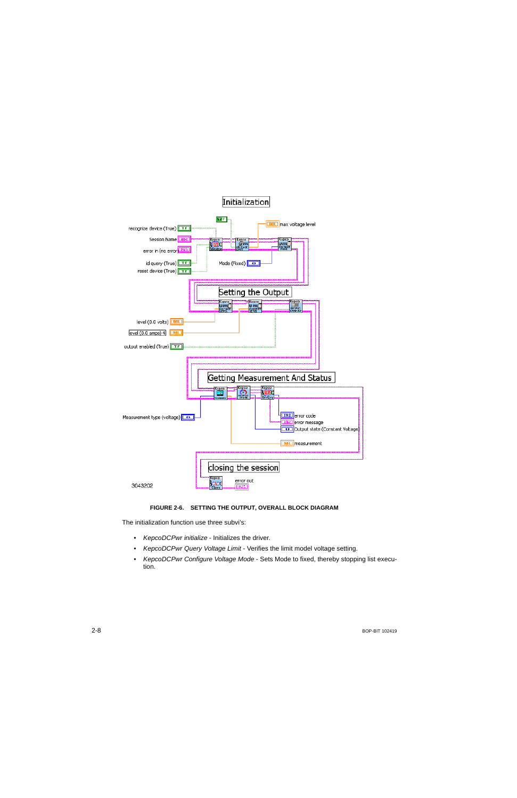

## **FIGURE 2-6. SETTING THE OUTPUT, OVERALL BLOCK DIAGRAM**

<span id="page-17-0"></span>The initialization function use three subvi's:

- •*KepcoDCPwr initialize* - Initializes the driver.
- •*KepcoDCPwr Query Voltage Limit* - Verifies the limit model voltage setting.
- • *KepcoDCPwr Configure Voltage Mode* - Sets Mode to fixed, thereby stopping list execution.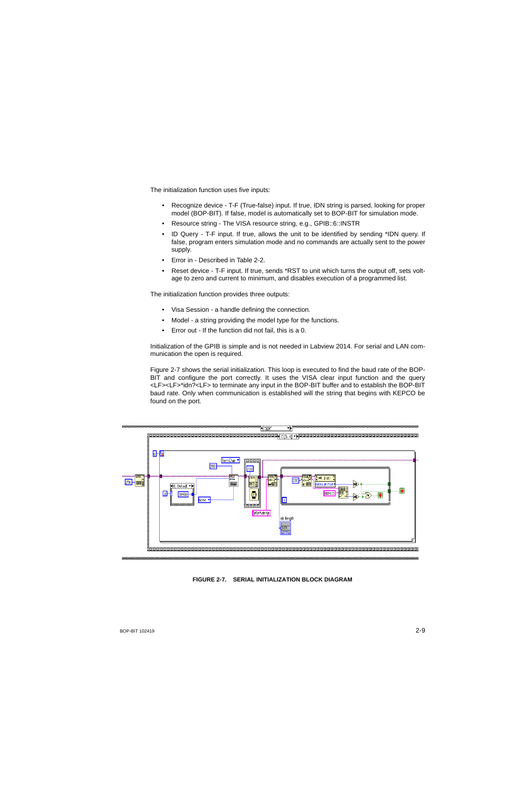The initialization function uses five inputs:

- Recognize device T-F (True-false) input. If true, IDN string is parsed, looking for proper model (BOP-BIT). If false, model is automatically set to BOP-BIT for simulation mode.
- Resource string The VISA resource string, e.g., GPIB::6::INSTR
- ID Query T-F input. If true, allows the unit to be identified by sending \*IDN query. If false, program enters simulation mode and no commands are actually sent to the power supply.
- Error in Described in Table [2-2](#page-13-3).
- Reset device T-F input. If true, sends \*RST to unit which turns the output off, sets voltage to zero and current to minimum, and disables execution of a programmed list.

The initialization function provides three outputs:

- Visa Session a handle defining the connection.
- Model a string providing the model type for the functions.
- Error out If the function did not fail, this is a 0.

Initialization of the GPIB is simple and is not needed in Labview 2014. For serial and LAN communication the open is required.

Figure [2-7](#page-18-0) shows the serial initialization. This loop is executed to find the baud rate of the BOP-BIT and configure the port correctly. It uses the VISA clear input function and the query <LF><LF>\*idn?<LF> to terminate any input in the BOP-BIT buffer and to establish the BOP-BIT baud rate. Only when communication is established will the string that begins with KEPCO be found on the port.



#### <span id="page-18-0"></span>**FIGURE 2-7. SERIAL INITIALIZATION BLOCK DIAGRAM**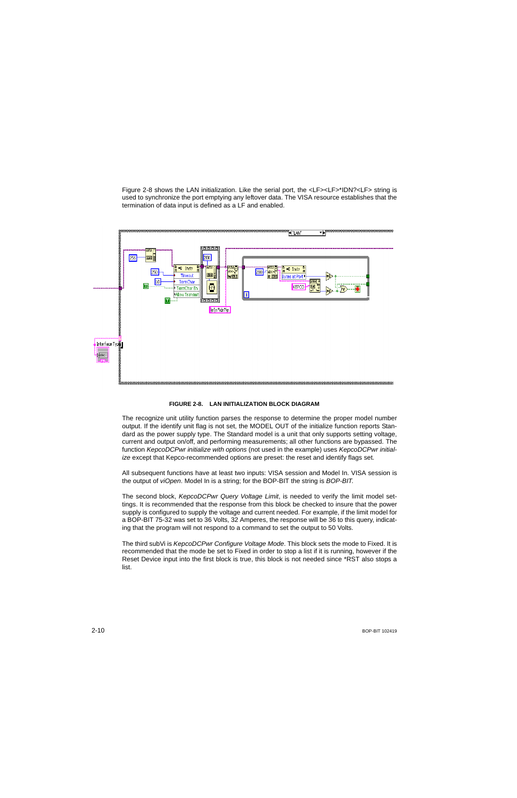Figure [2-8](#page-19-0) shows the LAN initialization. Like the serial port, the <LF><LF>\*IDN?<LF> string is used to synchronize the port emptying any leftover data. The VISA resource establishes that the termination of data input is defined as a LF and enabled.



#### **FIGURE 2-8. LAN INITIALIZATION BLOCK DIAGRAM**

<span id="page-19-0"></span>The recognize unit utility function parses the response to determine the proper model number output. If the identify unit flag is not set, the MODEL OUT of the initialize function reports Standard as the power supply type. The Standard model is a unit that only supports setting voltage, current and output on/off, and performing measurements; all other functions are bypassed. The function *KepcoDCPwr initialize with options* (not used in the example) uses *KepcoDCPwr initialize* except that Kepco-recommended options are preset: the reset and identify flags set.

All subsequent functions have at least two inputs: VISA session and Model In. VISA session is the output of *viOpen*. Model In is a string; for the BOP-BIT the string is *BOP-BIT*.

The second block, *KepcoDCPwr Query Voltage Limit*, is needed to verify the limit model settings. It is recommended that the response from this block be checked to insure that the power supply is configured to supply the voltage and current needed. For example, if the limit model for a BOP-BIT 75-32 was set to 36 Volts, 32 Amperes, the response will be 36 to this query, indicating that the program will not respond to a command to set the output to 50 Volts.

The third subVi is *KepcoDCPwr Configure Voltage Mode*. This block sets the mode to Fixed. It is recommended that the mode be set to Fixed in order to stop a list if it is running, however if the Reset Device input into the first block is true, this block is not needed since \*RST also stops a list.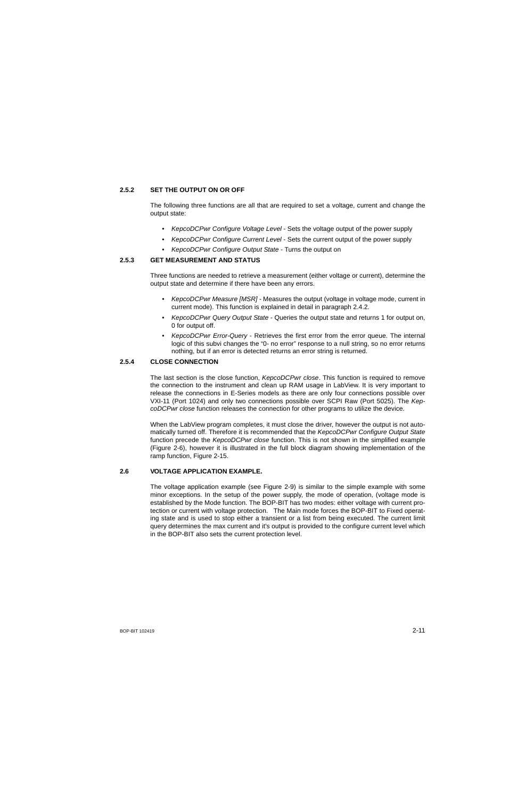## <span id="page-20-0"></span>**2.5.2 SET THE OUTPUT ON OR OFF**

The following three functions are all that are required to set a voltage, current and change the output state:

- *KepcoDCPwr Configure Voltage Level* Sets the voltage output of the power supply
- *KepcoDCPwr Configure Current Level* Sets the current output of the power supply
- *KepcoDCPwr Configure Output State* Turns the output on

## <span id="page-20-1"></span>**2.5.3 GET MEASUREMENT AND STATUS**

Three functions are needed to retrieve a measurement (either voltage or current), determine the output state and determine if there have been any errors.

- *• KepcoDCPwr Measure [MSR]* Measures the output (voltage in voltage mode, current in current mode). This function is explained in detail in paragraph [2.4.2](#page-14-1).
- *KepcoDCPwr Query Output State* Queries the output state and returns 1 for output on, 0 for output off.
- *KepcoDCPwr Error-Query* Retrieves the first error from the error queue. The internal logic of this subvi changes the "0- no error" response to a null string, so no error returns nothing, but if an error is detected returns an error string is returned.

## <span id="page-20-2"></span>**2.5.4 CLOSE CONNECTION**

The last section is the close function, *KepcoDCPwr close*. This function is required to remove the connection to the instrument and clean up RAM usage in LabView. It is very important to release the connections in E-Series models as there are only four connections possible over VXI-11 (Port 1024) and only two connections possible over SCPI Raw (Port 5025). The *KepcoDCPwr close* function releases the connection for other programs to utilize the device.

When the LabView program completes, it must close the driver, however the output is not automatically turned off. Therefore it is recommended that the *KepcoDCPwr Configure Output State* function precede the *KepcoDCPwr close* function. This is not shown in the simplified example (Figure [2-6](#page-17-0)), however it is illustrated in the full block diagram showing implementation of the ramp function, Figure [2-15](#page-30-1).

## <span id="page-20-3"></span>**2.6 VOLTAGE APPLICATION EXAMPLE.**

The voltage application example (see Figure [2-9](#page-21-1)) is similar to the simple example with some minor exceptions. In the setup of the power supply, the mode of operation, (voltage mode is established by the Mode function. The BOP-BIT has two modes: either voltage with current protection or current with voltage protection. The Main mode forces the BOP-BIT to Fixed operating state and is used to stop either a transient or a list from being executed. The current limit query determines the max current and it's output is provided to the configure current level which in the BOP-BIT also sets the current protection level.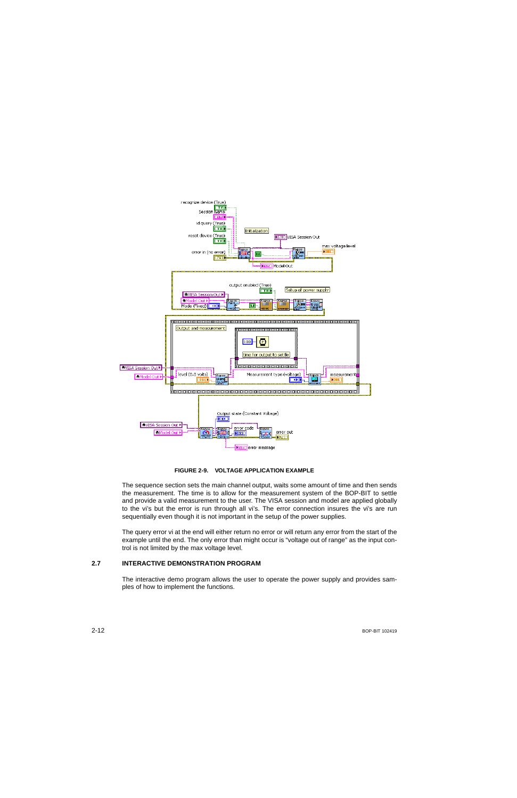

**FIGURE 2-9. VOLTAGE APPLICATION EXAMPLE**

<span id="page-21-1"></span>The sequence section sets the main channel output, waits some amount of time and then sends the measurement. The time is to allow for the measurement system of the BOP-BIT to settle and provide a valid measurement to the user. The VISA session and model are applied globally to the vi's but the error is run through all vi's. The error connection insures the vi's are run sequentially even though it is not important in the setup of the power supplies.

The query error vi at the end will either return no error or will return any error from the start of the example until the end. The only error than might occur is "voltage out of range" as the input control is not limited by the max voltage level.

## <span id="page-21-0"></span>**2.7 INTERACTIVE DEMONSTRATION PROGRAM**

The interactive demo program allows the user to operate the power supply and provides samples of how to implement the functions.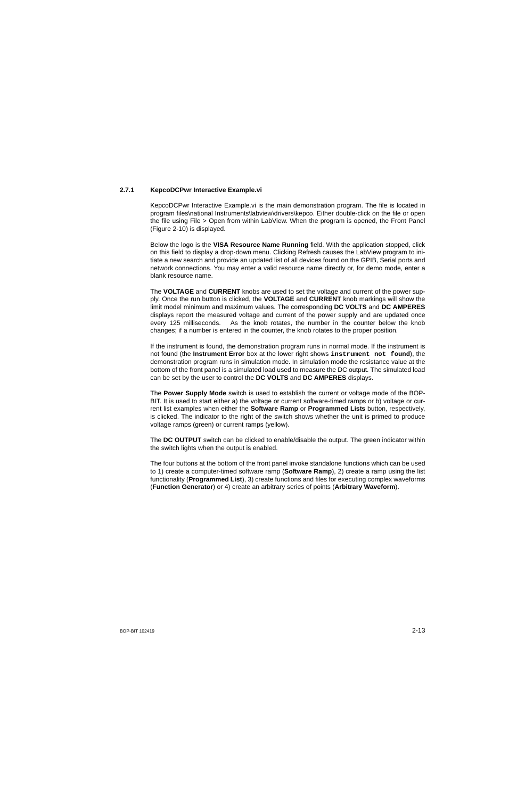## <span id="page-22-0"></span>**2.7.1 KepcoDCPwr Interactive Example.vi**

KepcoDCPwr Interactive Example.vi is the main demonstration program. The file is located in program files\national Instruments\labview\drivers\kepco. Either double-click on the file or open the file using File > Open from within LabView. When the program is opened, the Front Panel (Figure [2-10](#page-23-1)) is displayed.

Below the logo is the **VISA Resource Name Running** field. With the application stopped, click on this field to display a drop-down menu. Clicking Refresh causes the LabView program to initiate a new search and provide an updated list of all devices found on the GPIB, Serial ports and network connections. You may enter a valid resource name directly or, for demo mode, enter a blank resource name.

The **VOLTAGE** and **CURRENT** knobs are used to set the voltage and current of the power supply. Once the run button is clicked, the **VOLTAGE** and **CURRENT** knob markings will show the limit model minimum and maximum values. The corresponding **DC VOLTS** and **DC AMPERES** displays report the measured voltage and current of the power supply and are updated once every 125 milliseconds. As the knob rotates, the number in the counter below the knob changes; if a number is entered in the counter, the knob rotates to the proper position.

If the instrument is found, the demonstration program runs in normal mode. If the instrument is not found (the **Instrument Error** box at the lower right shows **instrument not found**), the demonstration program runs in simulation mode. In simulation mode the resistance value at the bottom of the front panel is a simulated load used to measure the DC output. The simulated load can be set by the user to control the **DC VOLTS** and **DC AMPERES** displays.

The **Power Supply Mode** switch is used to establish the current or voltage mode of the BOP-BIT. It is used to start either a) the voltage or current software-timed ramps or b) voltage or current list examples when either the **Software Ramp** or **Programmed Lists** button, respectively, is clicked. The indicator to the right of the switch shows whether the unit is primed to produce voltage ramps (green) or current ramps (yellow).

The **DC OUTPUT** switch can be clicked to enable/disable the output. The green indicator within the switch lights when the output is enabled.

The four buttons at the bottom of the front panel invoke standalone functions which can be used to 1) create a computer-timed software ramp (**Software Ramp**), 2) create a ramp using the list functionality (**Programmed List**), 3) create functions and files for executing complex waveforms (**Function Generator**) or 4) create an arbitrary series of points (**Arbitrary Waveform**).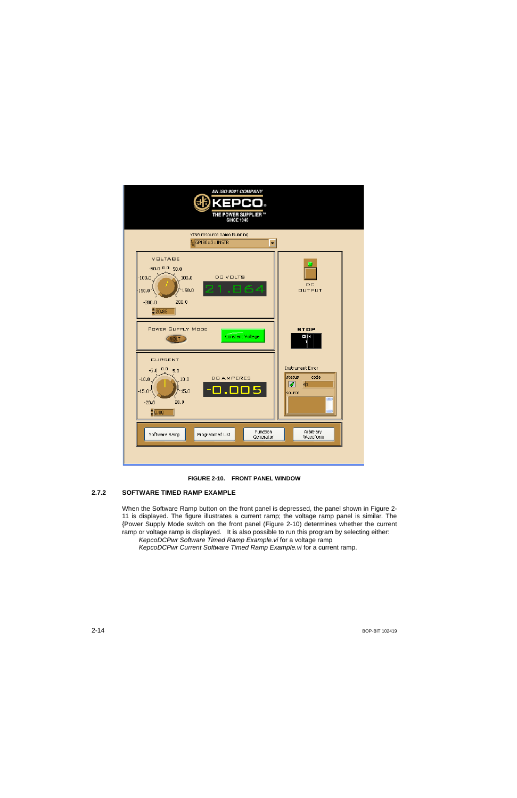

<span id="page-23-2"></span>

## <span id="page-23-1"></span><span id="page-23-0"></span>**2.7.2 SOFTWARE TIMED RAMP EXAMPLE**

When the Software Ramp button on the front panel is depressed, the panel shown in Figure [2-](#page-24-0) [11](#page-24-0) is displayed. The figure illustrates a current ramp; the voltage ramp panel is similar. The {Power Supply Mode switch on the front panel (Figure [2-10](#page-23-1)) determines whether the current ramp or voltage ramp is displayed. It is also possible to run this program by selecting either:

*KepcoDCPwr Software Timed Ramp Example.vi* for a voltage ramp *KepcoDCPwr Current Software Timed Ramp Example.vi* for a current ramp.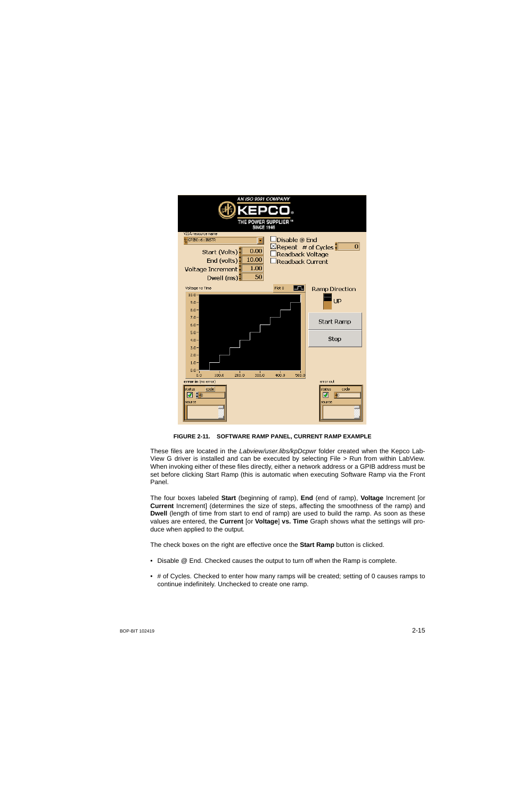

**FIGURE 2-11. SOFTWARE RAMP PANEL, CURRENT RAMP EXAMPLE**

<span id="page-24-0"></span>These files are located in the *Labview/user.libs/kpDcpwr* folder created when the Kepco Lab-View G driver is installed and can be executed by selecting File > Run from within LabView. When invoking either of these files directly, either a network address or a GPIB address must be set before clicking Start Ramp (this is automatic when executing Software Ramp via the Front Panel.

The four boxes labeled **Start** (beginning of ramp), **End** (end of ramp), **Voltage** Increment [or **Current** Increment] (determines the size of steps, affecting the smoothness of the ramp) and **Dwell** (length of time from start to end of ramp) are used to build the ramp. As soon as these values are entered, the **Current** [or **Voltage**] **vs. Time** Graph shows what the settings will produce when applied to the output.

The check boxes on the right are effective once the **Start Ramp** button is clicked.

- Disable @ End. Checked causes the output to turn off when the Ramp is complete.
- # of Cycles. Checked to enter how many ramps will be created; setting of 0 causes ramps to continue indefinitely. Unchecked to create one ramp.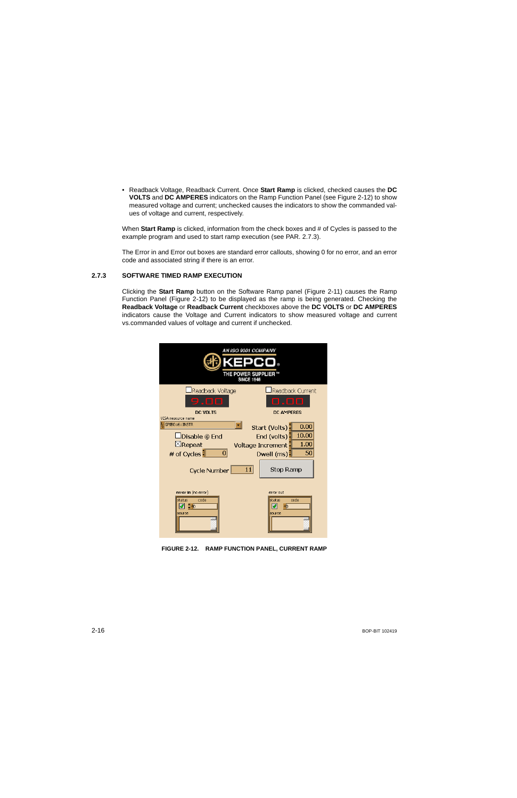• Readback Voltage, Readback Current. Once **Start Ramp** is clicked, checked causes the **DC VOLTS** and **DC AMPERES** indicators on the Ramp Function Panel (see Figure [2-12](#page-25-1)) to show measured voltage and current; unchecked causes the indicators to show the commanded values of voltage and current, respectively.

When **Start Ramp** is clicked, information from the check boxes and # of Cycles is passed to the example program and used to start ramp execution (see PAR. [2.7.3](#page-25-0)).

The Error in and Error out boxes are standard error callouts, showing 0 for no error, and an error code and associated string if there is an error.

## <span id="page-25-0"></span>**2.7.3 SOFTWARE TIMED RAMP EXECUTION**

Clicking the **Start Ramp** button on the Software Ramp panel (Figure [2-11\)](#page-24-0) causes the Ramp Function Panel (Figure [2-12](#page-25-1)) to be displayed as the ramp is being generated. Checking the **Readback Voltage** or **Readback Current** checkboxes above the **DC VOLTS** or **DC AMPERES** indicators cause the Voltage and Current indicators to show measured voltage and current vs.commanded values of voltage and current if unchecked.

| AN ISO 9001 COMPANY<br>THE POWER SUPPLIER<br><b>SINCE 1946</b>                                                  |                                                                                                  |  |  |  |
|-----------------------------------------------------------------------------------------------------------------|--------------------------------------------------------------------------------------------------|--|--|--|
| Readback Voltage<br>$\Box \Box \Box$<br>9<br><b>DC VOLTS</b>                                                    | Readback Current<br>. 80<br><b>DC AMPERES</b>                                                    |  |  |  |
| VISA resource name<br>GPIBO::6::INSTR<br>□Disable @ End<br>$\boxtimes$ Repeat<br># of Cycles<br>$\vert 0 \vert$ | 0.00<br>Start (Volts)<br>10.00<br>End (volts)<br>1.00<br>Voltage Increment<br>50<br>Dwell $(ms)$ |  |  |  |
| <b>Cycle Number</b>                                                                                             | 11 <br><b>Stop Ramp</b>                                                                          |  |  |  |
| error in (no error)<br>status<br>code<br>৩! ‡∣া<br>source                                                       | error out<br>status<br>code<br>мō<br>M<br>source                                                 |  |  |  |

<span id="page-25-1"></span>**FIGURE 2-12. RAMP FUNCTION PANEL, CURRENT RAMP**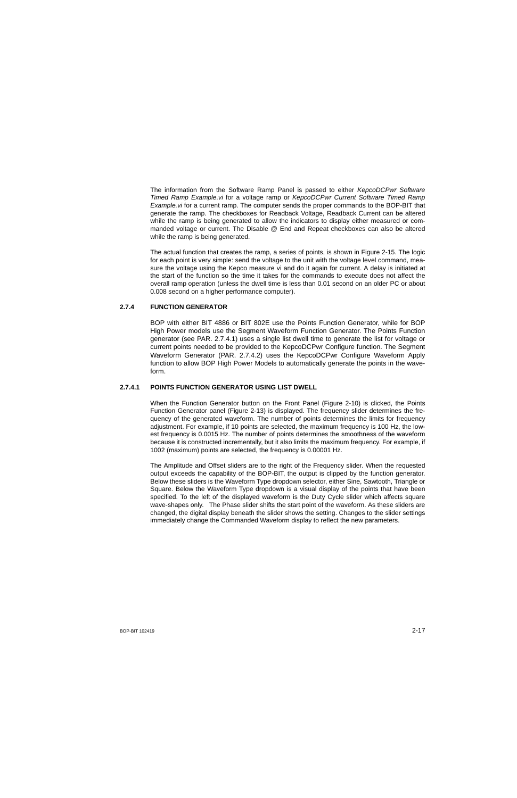The information from the Software Ramp Panel is passed to either *KepcoDCPwr Software Timed Ramp Example.vi* for a voltage ramp or *KepcoDCPwr Current Software Timed Ramp Example.vi* for a current ramp. The computer sends the proper commands to the BOP-BIT that generate the ramp. The checkboxes for Readback Voltage, Readback Current can be altered while the ramp is being generated to allow the indicators to display either measured or commanded voltage or current. The Disable @ End and Repeat checkboxes can also be altered while the ramp is being generated.

The actual function that creates the ramp, a series of points, is shown in Figure [2-15](#page-30-1). The logic for each point is very simple: send the voltage to the unit with the voltage level command, measure the voltage using the Kepco measure vi and do it again for current. A delay is initiated at the start of the function so the time it takes for the commands to execute does not affect the overall ramp operation (unless the dwell time is less than 0.01 second on an older PC or about 0.008 second on a higher performance computer).

## <span id="page-26-0"></span>**2.7.4 FUNCTION GENERATOR**

BOP with either BIT 4886 or BIT 802E use the Points Function Generator, while for BOP High Power models use the Segment Waveform Function Generator. The Points Function generator (see PAR. [2.7.4.1](#page-26-1)) uses a single list dwell time to generate the list for voltage or current points needed to be provided to the KepcoDCPwr Configure function. The Segment Waveform Generator (PAR. [2.7.4.2](#page-34-2)) uses the KepcoDCPwr Configure Waveform Apply function to allow BOP High Power Models to automatically generate the points in the waveform.

#### <span id="page-26-1"></span>**2.7.4.1 POINTS FUNCTION GENERATOR USING LIST DWELL**

When the Function Generator button on the Front Panel (Figure [2-10](#page-23-1)) is clicked, the Points Function Generator panel (Figure [2-13](#page-28-0)) is displayed. The frequency slider determines the frequency of the generated waveform. The number of points determines the limits for frequency adjustment. For example, if 10 points are selected, the maximum frequency is 100 Hz, the lowest frequency is 0.0015 Hz. The number of points determines the smoothness of the waveform because it is constructed incrementally, but it also limits the maximum frequency. For example, if 1002 (maximum) points are selected, the frequency is 0.00001 Hz.

The Amplitude and Offset sliders are to the right of the Frequency slider. When the requested output exceeds the capability of the BOP-BIT, the output is clipped by the function generator. Below these sliders is the Waveform Type dropdown selector, either Sine, Sawtooth, Triangle or Square. Below the Waveform Type dropdown is a visual display of the points that have been specified. To the left of the displayed waveform is the Duty Cycle slider which affects square wave-shapes only. The Phase slider shifts the start point of the waveform. As these sliders are changed, the digital display beneath the slider shows the setting. Changes to the slider settings immediately change the Commanded Waveform display to reflect the new parameters.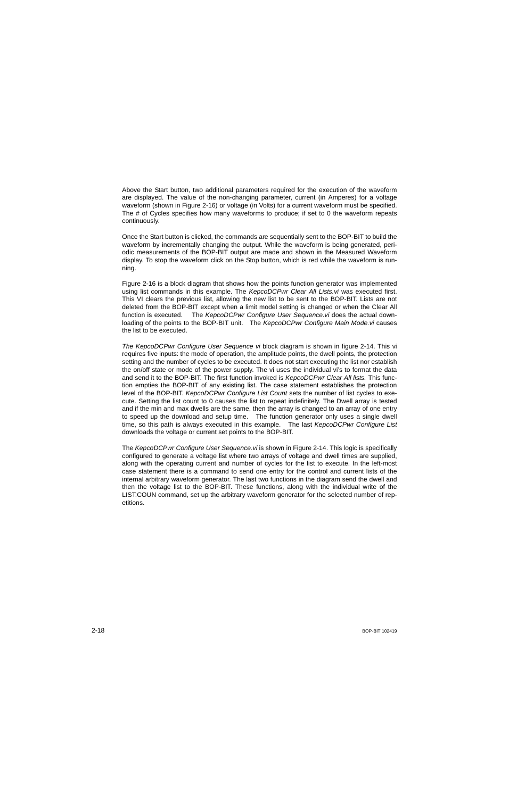Above the Start button, two additional parameters required for the execution of the waveform are displayed. The value of the non-changing parameter, current (in Amperes) for a voltage waveform (shown in Figure [2-16](#page-32-1)) or voltage (in Volts) for a current waveform must be specified. The # of Cycles specifies how many waveforms to produce; if set to 0 the waveform repeats continuously.

Once the Start button is clicked, the commands are sequentially sent to the BOP-BIT to build the waveform by incrementally changing the output. While the waveform is being generated, periodic measurements of the BOP-BIT output are made and shown in the Measured Waveform display. To stop the waveform click on the Stop button, which is red while the waveform is running.

Figure [2-16](#page-32-1) is a block diagram that shows how the points function generator was implemented using list commands in this example. The *KepcoDCPwr Clear All Lists.vi* was executed first. This VI clears the previous list, allowing the new list to be sent to the BOP-BIT. Lists are not deleted from the BOP-BIT except when a limit model setting is changed or when the Clear All function is executed. The *KepcoDCPwr Configure User Sequence.vi* does the actual downloading of the points to the BOP-BIT unit. The *KepcoDCPwr Configure Main Mode.vi* causes the list to be executed.

*The KepcoDCPwr Configure User Sequence vi* block diagram is shown in figure [2-14](#page-29-0). This vi requires five inputs: the mode of operation, the amplitude points, the dwell points, the protection setting and the number of cycles to be executed. It does not start executing the list nor establish the on/off state or mode of the power supply. The vi uses the individual vi's to format the data and send it to the BOP-BIT. The first function invoked is *KepcoDCPwr Clear All lists.* This function empties the BOP-BIT of any existing list. The case statement establishes the protection level of the BOP-BIT. *KepcoDCPwr Configure List Count* sets the number of list cycles to execute. Setting the list count to 0 causes the list to repeat indefinitely. The Dwell array is tested and if the min and max dwells are the same, then the array is changed to an array of one entry to speed up the download and setup time. The function generator only uses a single dwell time, so this path is always executed in this example. The last *KepcoDCPwr Configure List* downloads the voltage or current set points to the BOP-BIT.

The *KepcoDCPwr Configure User Sequence.vi* is shown in Figure [2-14](#page-29-0). This logic is specifically configured to generate a voltage list where two arrays of voltage and dwell times are supplied, along with the operating current and number of cycles for the list to execute. In the left-most case statement there is a command to send one entry for the control and current lists of the internal arbitrary waveform generator. The last two functions in the diagram send the dwell and then the voltage list to the BOP-BIT. These functions, along with the individual write of the LIST:COUN command, set up the arbitrary waveform generator for the selected number of repetitions.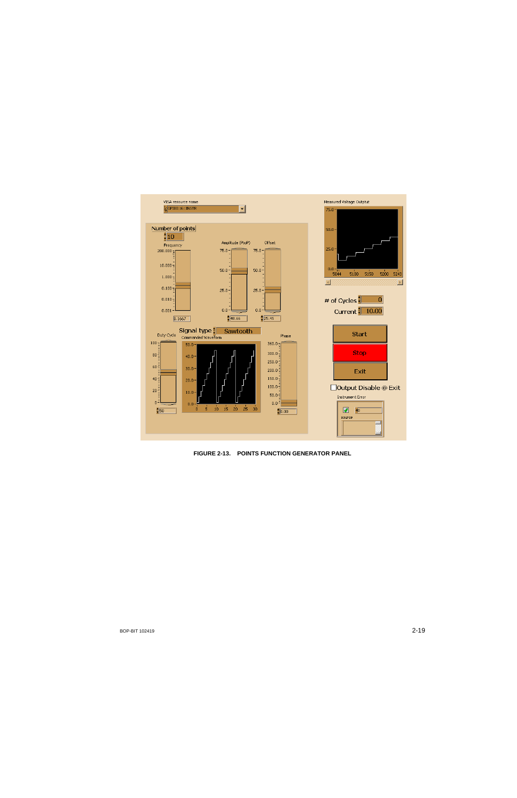

<span id="page-28-0"></span>**FIGURE 2-13. POINTS FUNCTION GENERATOR PANEL**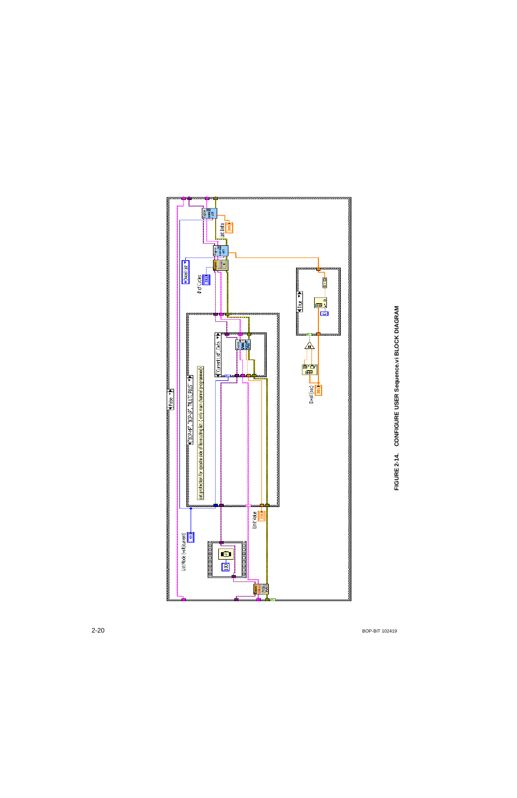<span id="page-29-0"></span>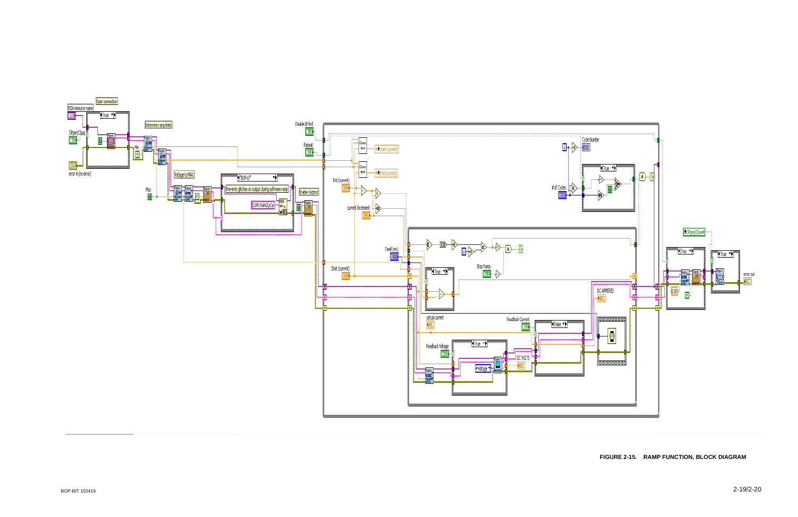<span id="page-30-1"></span><span id="page-30-0"></span>

#### **FIGURE 2-15. RAMP FUNCTION, BLOCK DIAGRAM**

2-19/2-20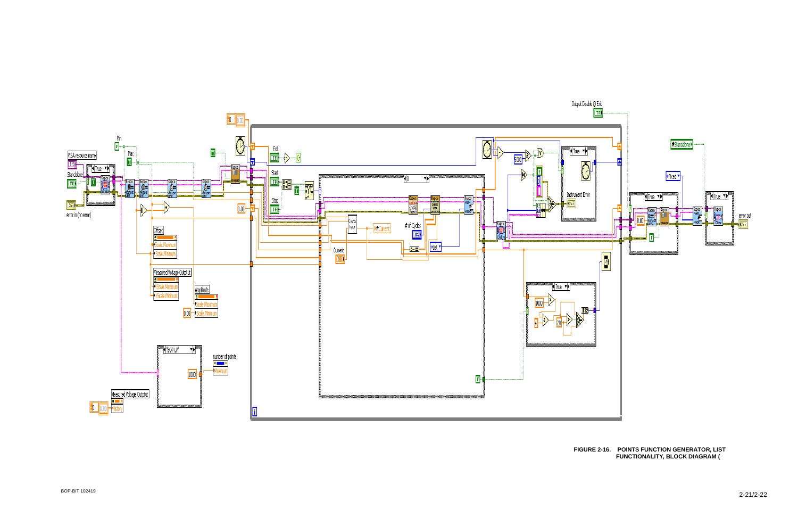

<span id="page-32-1"></span><span id="page-32-0"></span>BOP-BIT 102419

#### **FIGURE 2-16. POINTS FUNCTION GENERATOR, LIST FUNCTIONALITY, BLOCK DIAGRAM (**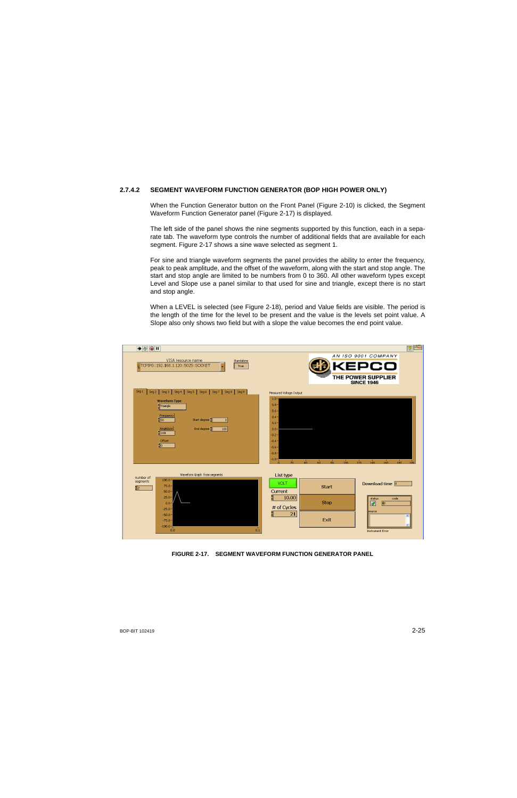## <span id="page-34-0"></span>**2.7.4.2 SEGMENT WAVEFORM FUNCTION GENERATOR (BOP HIGH POWER ONLY)**

<span id="page-34-2"></span>When the Function Generator button on the Front Panel (Figure [2-10](#page-23-2)) is clicked, the Segment Waveform Function Generator panel (Figure [2-17](#page-34-1)) is displayed.

The left side of the panel shows the nine segments supported by this function, each in a separate tab. The waveform type controls the number of additional fields that are available for each segment. Figure [2-17](#page-34-1) shows a sine wave selected as segment 1.

For sine and triangle waveform segments the panel provides the ability to enter the frequency, peak to peak amplitude, and the offset of the waveform, along with the start and stop angle. The start and stop angle are limited to be numbers from 0 to 360. All other waveform types except Level and Slope use a panel similar to that used for sine and triangle, except there is no start and stop angle.

When a LEVEL is selected (see Figure [2-18](#page-35-0)), period and Value fields are visible. The period is the length of the time for the level to be present and the value is the levels set point value. A Slope also only shows two field but with a slope the value becomes the end point value.

| $\bullet$ $\circledcirc$ $\blacksquare$                                                                                                                                                           | $ \mathcal{P} $                                                                                                                                                                                                                                                                      |
|---------------------------------------------------------------------------------------------------------------------------------------------------------------------------------------------------|--------------------------------------------------------------------------------------------------------------------------------------------------------------------------------------------------------------------------------------------------------------------------------------|
| VISA resource name<br>Standalone<br>TCPIP0::192.168.1.120::5025::SOCKET<br>True                                                                                                                   | AN ISO 9001 COMPANY<br>co<br>THE POWER SUPPLIER<br><b>SINCE 1946</b>                                                                                                                                                                                                                 |
| Seg 1<br>Seg 4<br>Seg 5<br>Seg 7<br>$Seg 8$ Seg 9<br>Seg 2<br>Seg 3<br>Seg 6                                                                                                                      | Measured Voltage Output                                                                                                                                                                                                                                                              |
| <b>Waveform Type</b><br>Triangle<br>Frequency<br>$\frac{1}{2}$ 50<br>Start degree<br>$\vert 0 \vert$<br>Amplidute<br>End degree<br>180<br>$rac{1}{2}$ 100<br>Offset<br>$\frac{1}{2}$ <sub>0</sub> | $1.0 -$<br>$0.8 -$<br>$0.6 -$<br>$0.4 -$<br>$0.2 -$<br>0.0<br>$-0.2 -$<br>$-0.4-$<br>$-0.6 -$<br>$-0.8 -$<br>$-1.01$<br>$\frac{1}{40}$<br>$\frac{1}{120}$<br>$\frac{1}{20}$<br>$\frac{1}{60}$<br>$\frac{1}{80}$<br>$\frac{1}{100}$<br>$140^{-1}$<br>$160 -$<br>$180^{-1}$<br>$199 -$ |
| Waveform Graph from segments<br>number of                                                                                                                                                         | List type                                                                                                                                                                                                                                                                            |
| $100.0 -$<br>segments<br>$75.0 -$<br>$50.0 -$                                                                                                                                                     | VOLT<br>Download time 0<br><b>Start</b><br>Current                                                                                                                                                                                                                                   |
| $25.0 -$<br>$0.0 -$<br>$-25.0 -$                                                                                                                                                                  | 10.00<br>status<br>code<br>Stop<br>$\overline{40}$<br>☞<br># of Cycles<br>source                                                                                                                                                                                                     |
| $-50.0 -$<br>$-75.0 -$<br>$-100.0 -$<br>0.1<br>0.0                                                                                                                                                | 21<br>$\mathbf{z}$<br>Exit<br><b>Instrument Error</b>                                                                                                                                                                                                                                |

<span id="page-34-1"></span>**FIGURE 2-17. SEGMENT WAVEFORM FUNCTION GENERATOR PANEL**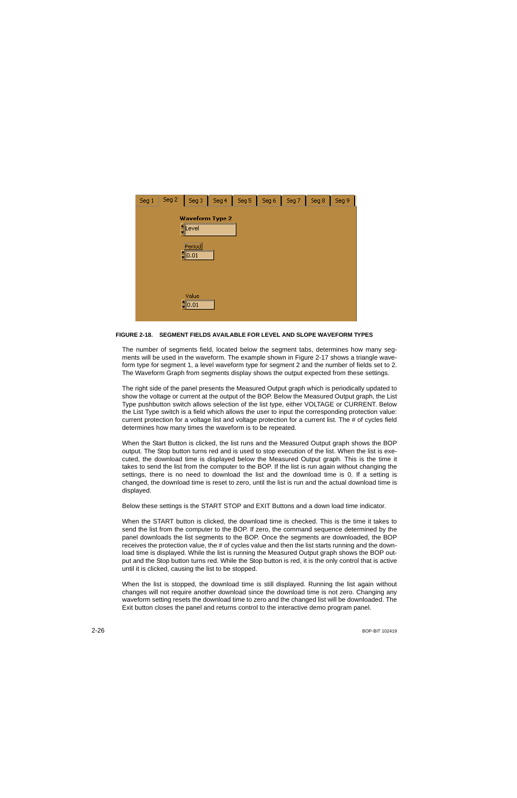| Seg 1 | Seg 2 | Seg 3                          | Seg 4                  | Seg 5 | Seg 6 | Seg 7 | Seg 8 | Seg 9 |
|-------|-------|--------------------------------|------------------------|-------|-------|-------|-------|-------|
|       |       |                                | <b>Waveform Type 2</b> |       |       |       |       |       |
|       |       | ∄Level                         |                        |       |       |       |       |       |
|       |       |                                |                        |       |       |       |       |       |
|       |       | Period<br>$\frac{25}{100}$ .01 |                        |       |       |       |       |       |
|       |       |                                |                        |       |       |       |       |       |
|       |       | Value<br>$\frac{25}{200}$      |                        |       |       |       |       |       |

## <span id="page-35-0"></span>**FIGURE 2-18. SEGMENT FIELDS AVAILABLE FOR LEVEL AND SLOPE WAVEFORM TYPES**

The number of segments field, located below the segment tabs, determines how many segments will be used in the waveform. The example shown in Figure [2-17](#page-34-1) shows a triangle waveform type for segment 1, a level waveform type for segment 2 and the number of fields set to 2. The Waveform Graph from segments display shows the output expected from these settings.

The right side of the panel presents the Measured Output graph which is periodically updated to show the voltage or current at the output of the BOP. Below the Measured Output graph, the List Type pushbutton switch allows selection of the list type, either VOLTAGE or CURRENT. Below the List Type switch is a field which allows the user to input the corresponding protection value: current protection for a voltage list and voltage protection for a current list. The # of cycles field determines how many times the waveform is to be repeated.

When the Start Button is clicked, the list runs and the Measured Output graph shows the BOP output. The Stop button turns red and is used to stop execution of the list. When the list is executed, the download time is displayed below the Measured Output graph. This is the time it takes to send the list from the computer to the BOP. If the list is run again without changing the settings, there is no need to download the list and the download time is 0. If a setting is changed, the download time is reset to zero, until the list is run and the actual download time is displayed.

Below these settings is the START STOP and EXIT Buttons and a down load time indicator.

When the START button is clicked, the download time is checked. This is the time it takes to send the list from the computer to the BOP. If zero, the command sequence determined by the panel downloads the list segments to the BOP. Once the segments are downloaded, the BOP receives the protection value, the # of cycles value and then the list starts running and the download time is displayed. While the list is running the Measured Output graph shows the BOP output and the Stop button turns red. While the Stop button is red, it is the only control that is active until it is clicked, causing the list to be stopped.

When the list is stopped, the download time is still displayed. Running the list again without changes will not require another download since the download time is not zero. Changing any waveform setting resets the download time to zero and the changed list will be downloaded. The Exit button closes the panel and returns control to the interactive demo program panel.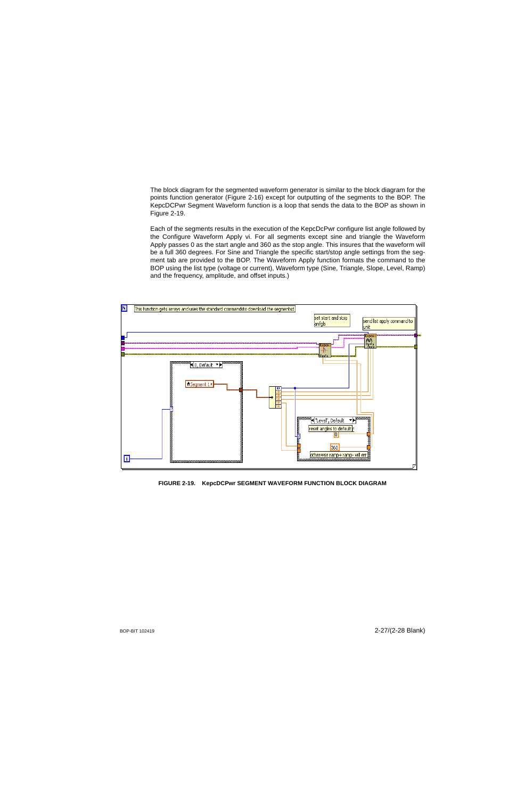The block diagram for the segmented waveform generator is similar to the block diagram for the points function generator (Figure [2-16](#page-32-1)) except for outputting of the segments to the BOP. The KepcDCPwr Segment Waveform function is a loop that sends the data to the BOP as shown in Figure [2-19](#page-36-0).

Each of the segments results in the execution of the KepcDcPwr configure list angle followed by the Configure Waveform Apply vi. For all segments except sine and triangle the Waveform Apply passes 0 as the start angle and 360 as the stop angle. This insures that the waveform will be a full 360 degrees. For Sine and Triangle the specific start/stop angle settings from the segment tab are provided to the BOP. The Waveform Apply function formats the command to the BOP using the list type (voltage or current), Waveform type (Sine, Triangle, Slope, Level, Ramp) and the frequency, amplitude, and offset inputs.)



<span id="page-36-0"></span>**FIGURE 2-19. KepcDCPwr SEGMENT WAVEFORM FUNCTION BLOCK DIAGRAM**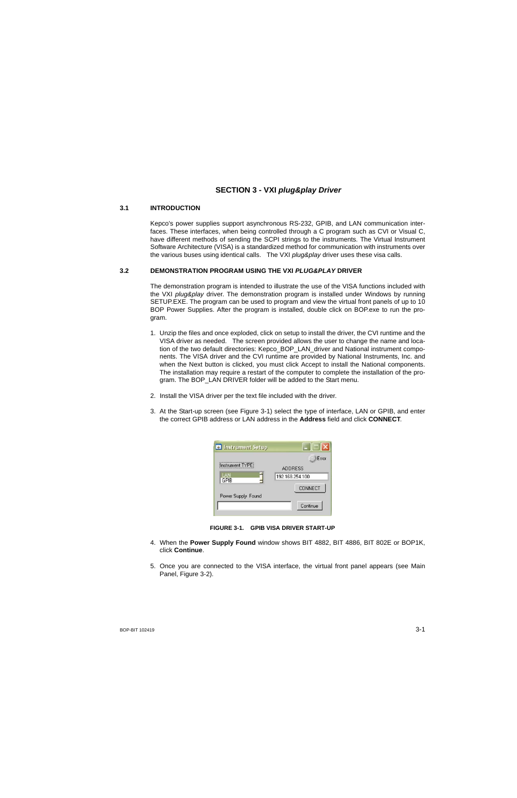## <span id="page-38-3"></span>**SECTION 3 - VXI** *plug&play Driver*

#### <span id="page-38-0"></span>**3.1 INTRODUCTION**

Kepco's power supplies support asynchronous RS-232, GPIB, and LAN communication interfaces. These interfaces, when being controlled through a C program such as CVI or Visual C, have different methods of sending the SCPI strings to the instruments. The Virtual Instrument Software Architecture (VISA) is a standardized method for communication with instruments over the various buses using identical calls. The VXI *plug&play* driver uses these visa calls.

## <span id="page-38-1"></span>**3.2 DEMONSTRATION PROGRAM USING THE VXI** *PLUG&PLAY* **DRIVER**

The demonstration program is intended to illustrate the use of the VISA functions included with the VXI *plug&play* driver. The demonstration program is installed under Windows by running SETUP.EXE. The program can be used to program and view the virtual front panels of up to 10 BOP Power Supplies. After the program is installed, double click on BOP.exe to run the program.

- 1. Unzip the files and once exploded, click on setup to install the driver, the CVI runtime and the VISA driver as needed. The screen provided allows the user to change the name and location of the two default directories: Kepco\_BOP\_LAN\_driver and National instrument components. The VISA driver and the CVI runtime are provided by National Instruments, Inc. and when the Next button is clicked, you must click Accept to install the National components. The installation may require a restart of the computer to complete the installation of the program. The BOP LAN DRIVER folder will be added to the Start menu.
- 2. Install the VISA driver per the text file included with the driver.
- 3. At the Start-up screen (see Figure [3-1](#page-38-2)) select the type of interface, LAN or GPIB, and enter the correct GPIB address or LAN address in the **Address** field and click **CONNECT**.



**FIGURE 3-1. GPIB VISA DRIVER START-UP**

- <span id="page-38-2"></span>4. When the **Power Supply Found** window shows BIT 4882, BIT 4886, BIT 802E or BOP1K, click **Continue**.
- 5. Once you are connected to the VISA interface, the virtual front panel appears (see Main Panel, Figure [3-2](#page-39-1)).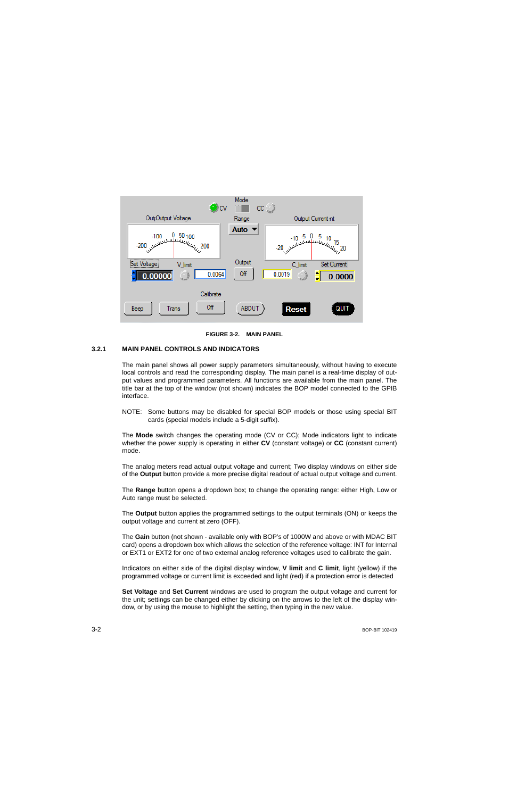

**FIGURE 3-2. MAIN PANEL**

## <span id="page-39-1"></span><span id="page-39-0"></span>**3.2.1 MAIN PANEL CONTROLS AND INDICATORS**

The main panel shows all power supply parameters simultaneously, without having to execute local controls and read the corresponding display. The main panel is a real-time display of output values and programmed parameters. All functions are available from the main panel. The title bar at the top of the window (not shown) indicates the BOP model connected to the GPIB interface.

NOTE: Some buttons may be disabled for special BOP models or those using special BIT cards (special models include a 5-digit suffix).

The **Mode** switch changes the operating mode (CV or CC); Mode indicators light to indicate whether the power supply is operating in either **CV** (constant voltage) or **CC** (constant current) mode.

The analog meters read actual output voltage and current; Two display windows on either side of the **Output** button provide a more precise digital readout of actual output voltage and current.

The **Range** button opens a dropdown box; to change the operating range: either High, Low or Auto range must be selected.

The **Output** button applies the programmed settings to the output terminals (ON) or keeps the output voltage and current at zero (OFF).

The **Gain** button (not shown - available only with BOP's of 1000W and above or with MDAC BIT card) opens a dropdown box which allows the selection of the reference voltage: INT for Internal or EXT1 or EXT2 for one of two external analog reference voltages used to calibrate the gain.

Indicators on either side of the digital display window, **V limit** and **C limit**, light (yellow) if the programmed voltage or current limit is exceeded and light (red) if a protection error is detected

**Set Voltage** and **Set Current** windows are used to program the output voltage and current for the unit; settings can be changed either by clicking on the arrows to the left of the display window, or by using the mouse to highlight the setting, then typing in the new value.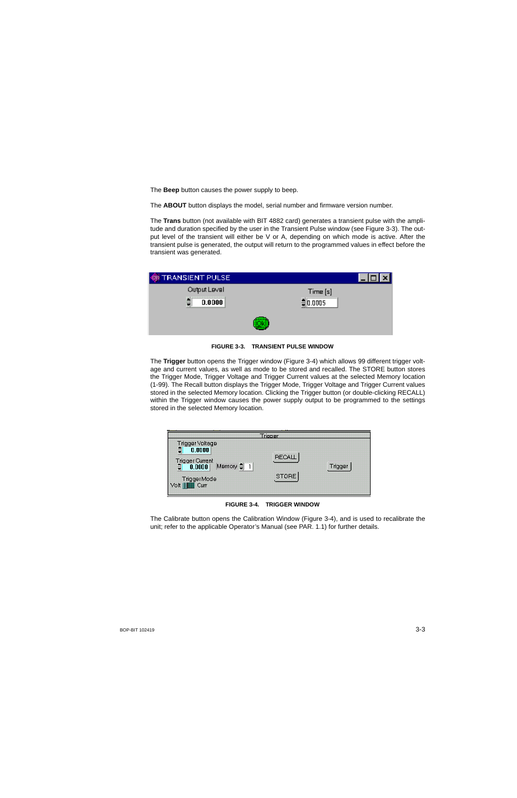The **Beep** button causes the power supply to beep.

The **ABOUT** button displays the model, serial number and firmware version number.

The **Trans** button (not available with BIT 4882 card) generates a transient pulse with the amplitude and duration specified by the user in the Transient Pulse window (see Figure [3-3](#page-40-0)). The output level of the transient will either be V or A, depending on which mode is active. After the transient pulse is generated, the output will return to the programmed values in effect before the transient was generated.

| <b>WE TRANSIENT PULSE</b> |            |  |
|---------------------------|------------|--|
| Output Level              | Time[s]    |  |
| 0.0000<br>E               | $= 0.0005$ |  |
|                           |            |  |

**FIGURE 3-3. TRANSIENT PULSE WINDOW**

<span id="page-40-0"></span>The **Trigger** button opens the Trigger window (Figure [3-4](#page-40-1)) which allows 99 different trigger voltage and current values, as well as mode to be stored and recalled. The STORE button stores the Trigger Mode, Trigger Voltage and Trigger Current values at the selected Memory location (1-99). The Recall button displays the Trigger Mode, Trigger Voltage and Trigger Current values stored in the selected Memory location. Clicking the Trigger button (or double-clicking RECALL) within the Trigger window causes the power supply output to be programmed to the settings stored in the selected Memory location.

|                                                                                                                                              | Triooer                |         |
|----------------------------------------------------------------------------------------------------------------------------------------------|------------------------|---------|
| Trigger Voltage<br>a<br>0.0000<br>Trigger Current<br>국 0.0000  <br>Memory $\frac{1}{2}$ 1<br>₿<br>Trigger Mode<br>Volt    <b>III</b><br>Curr | <b>RECALL</b><br>STORE | Trigger |

**FIGURE 3-4. TRIGGER WINDOW**

<span id="page-40-1"></span>The Calibrate button opens the Calibration Window (Figure [3-4\)](#page-40-1), and is used to recalibrate the unit; refer to the applicable Operator's Manual (see PAR. [1.1\)](#page-6-3) for further details.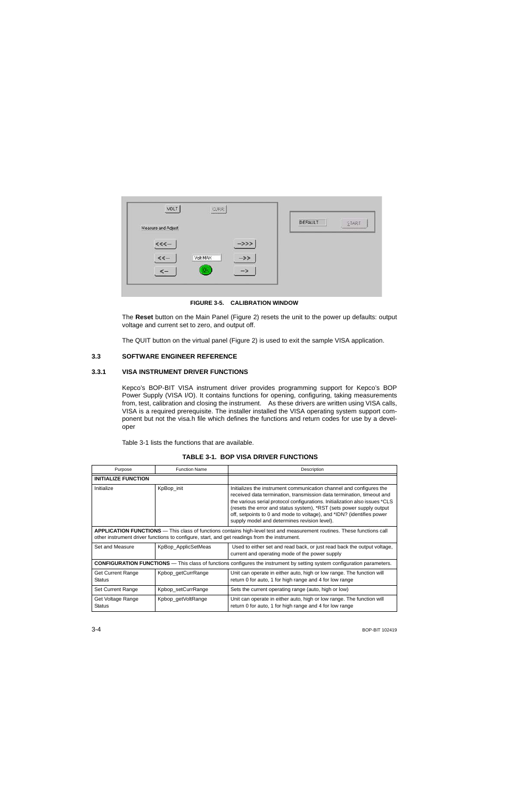| VOLT<br><b>CURR</b><br>AUSTRALIAN   |                                                  |
|-------------------------------------|--------------------------------------------------|
| Measure and Adjust                  | DEFAULT<br>START<br><br><b><i>CONTRACTOR</i></b> |
| <<<br>$->>$                         |                                                  |
| Volt MAX<br>$<< -$<br>$\rightarrow$ |                                                  |
| Ok                                  |                                                  |

**FIGURE 3-5. CALIBRATION WINDOW**

<span id="page-41-2"></span>The **Reset** button on the Main Panel (Figure 2) resets the unit to the power up defaults: output voltage and current set to zero, and output off.

The QUIT button on the virtual panel (Figure 2) is used to exit the sample VISA application.

## <span id="page-41-0"></span>**3.3 SOFTWARE ENGINEER REFERENCE**

## <span id="page-41-1"></span>**3.3.1 VISA INSTRUMENT DRIVER FUNCTIONS**

Kepco's BOP-BIT VISA instrument driver provides programming support for Kepco's BOP Power Supply (VISA I/O). It contains functions for opening, configuring, taking measurements from, test, calibration and closing the instrument. As these drivers are written using VISA calls, VISA is a required prerequisite. The installer installed the VISA operating system support component but not the visa.h file which defines the functions and return codes for use by a developer

Table [3-1](#page-41-3) lists the functions that are available.

<span id="page-41-3"></span>

| Purpose                                                                                      | <b>Function Name</b> | Description                                                                                                                                                                                                                                                                                                                                                                                                                  |
|----------------------------------------------------------------------------------------------|----------------------|------------------------------------------------------------------------------------------------------------------------------------------------------------------------------------------------------------------------------------------------------------------------------------------------------------------------------------------------------------------------------------------------------------------------------|
| <b>INITIALIZE FUNCTION</b>                                                                   |                      |                                                                                                                                                                                                                                                                                                                                                                                                                              |
| Initialize                                                                                   | KpBop_init           | Initializes the instrument communication channel and configures the<br>received data termination, transmission data termination, timeout and<br>the various serial protocol configurations. Initialization also issues *CLS<br>(resets the error and status system), *RST (sets power supply output<br>off, setpoints to 0 and mode to voltage), and *IDN? (identifies power<br>supply model and determines revision level). |
| other instrument driver functions to configure, start, and get readings from the instrument. |                      | <b>APPLICATION FUNCTIONS</b> — This class of functions contains high-level test and measurement routines. These functions call                                                                                                                                                                                                                                                                                               |
| Set and Measure                                                                              | KpBop_ApplicSetMeas  | Used to either set and read back, or just read back the output voltage,<br>current and operating mode of the power supply                                                                                                                                                                                                                                                                                                    |
|                                                                                              |                      | <b>CONFIGURATION FUNCTIONS</b> — This class of functions configures the instrument by setting system configuration parameters.                                                                                                                                                                                                                                                                                               |
| <b>Get Current Range</b><br><b>Status</b>                                                    | Kpbop_getCurrRange   | Unit can operate in either auto, high or low range. The function will<br>return 0 for auto, 1 for high range and 4 for low range                                                                                                                                                                                                                                                                                             |
| Set Current Range                                                                            | Kpbop_setCurrRange   | Sets the current operating range (auto, high or low)                                                                                                                                                                                                                                                                                                                                                                         |
| Get Voltage Range<br><b>Status</b>                                                           | Kpbop getVoltRange   | Unit can operate in either auto, high or low range. The function will<br>return 0 for auto, 1 for high range and 4 for low range                                                                                                                                                                                                                                                                                             |

## **TABLE 3-1. BOP VISA DRIVER FUNCTIONS**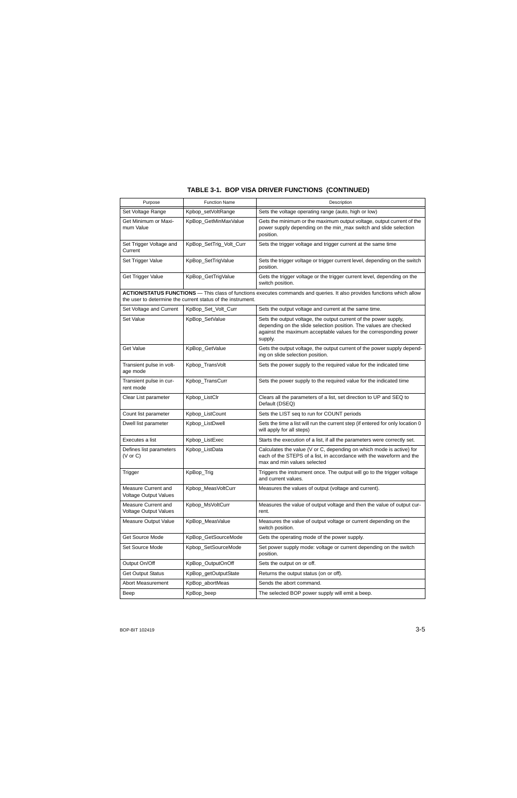# **TABLE 3-1. BOP VISA DRIVER FUNCTIONS (CONTINUED)**

| Purpose                                             | <b>Function Name</b>                                        | Description                                                                                                                                                                                                           |
|-----------------------------------------------------|-------------------------------------------------------------|-----------------------------------------------------------------------------------------------------------------------------------------------------------------------------------------------------------------------|
| Set Voltage Range                                   | Kpbop_setVoltRange                                          | Sets the voltage operating range (auto, high or low)                                                                                                                                                                  |
| Get Minimum or Maxi-<br>mum Value                   | KpBop_GetMinMaxValue                                        | Gets the minimum or the maximum output voltage, output current of the<br>power supply depending on the min_max switch and slide selection<br>position.                                                                |
| Set Trigger Voltage and<br>Current                  | KpBop_SetTrig_Volt_Curr                                     | Sets the trigger voltage and trigger current at the same time                                                                                                                                                         |
| Set Trigger Value                                   | KpBop_SetTrigValue                                          | Sets the trigger voltage or trigger current level, depending on the switch<br>position.                                                                                                                               |
| Get Trigger Value                                   | KpBop_GetTrigValue                                          | Gets the trigger voltage or the trigger current level, depending on the<br>switch position.                                                                                                                           |
|                                                     | the user to determine the current status of the instrument. | ACTION/STATUS FUNCTIONS - This class of functions executes commands and queries. It also provides functions which allow                                                                                               |
| Set Voltage and Current                             | KpBop_Set_Volt_Curr                                         | Sets the output voltage and current at the same time.                                                                                                                                                                 |
| Set Value                                           | KpBop_SetValue                                              | Sets the output voltage, the output current of the power supply,<br>depending on the slide selection position. The values are checked<br>against the maximum acceptable values for the corresponding power<br>supply. |
| Get Value                                           | KpBop_GetValue                                              | Gets the output voltage, the output current of the power supply depend-<br>ing on slide selection position.                                                                                                           |
| Transient pulse in volt-<br>age mode                | Kpbop_TransVolt                                             | Sets the power supply to the required value for the indicated time                                                                                                                                                    |
| Transient pulse in cur-<br>rent mode                | Kpbop_TransCurr                                             | Sets the power supply to the required value for the indicated time                                                                                                                                                    |
| Clear List parameter                                | Kpbop_ListClr                                               | Clears all the parameters of a list, set direction to UP and SEQ to<br>Default (DSEQ)                                                                                                                                 |
| Count list parameter                                | Kpbop_ListCount                                             | Sets the LIST seq to run for COUNT periods                                                                                                                                                                            |
| Dwell list parameter                                | Kpbop_ListDwell                                             | Sets the time a list will run the current step (if entered for only location 0<br>will apply for all steps)                                                                                                           |
| Executes a list                                     | Kpbop_ListExec                                              | Starts the execution of a list, if all the parameters were correctly set.                                                                                                                                             |
| Defines list parameters<br>$(V \text{ or } C)$      | Kpbop_ListData                                              | Calculates the value (V or C, depending on which mode is active) for<br>each of the STEPS of a list, in accordance with the waveform and the<br>max and min values selected                                           |
| Trigger                                             | KpBop_Trig                                                  | Triggers the instrument once. The output will go to the trigger voltage<br>and current values.                                                                                                                        |
| Measure Current and<br><b>Voltage Output Values</b> | Kpbop_MeasVoltCurr                                          | Measures the values of output (voltage and current).                                                                                                                                                                  |
| Measure Current and<br><b>Voltage Output Values</b> | Kpbop_MsVoltCurr                                            | Measures the value of output voltage and then the value of output cur-<br>rent.                                                                                                                                       |
| Measure Output Value                                | KpBop_MeasValue                                             | Measures the value of output voltage or current depending on the<br>switch position.                                                                                                                                  |
| Get Source Mode                                     | KpBop_GetSourceMode                                         | Gets the operating mode of the power supply.                                                                                                                                                                          |
| Set Source Mode                                     | Kpbop_SetSourceMode                                         | Set power supply mode: voltage or current depending on the switch<br>position.                                                                                                                                        |
| Output On/Off                                       | KpBop OutputOnOff                                           | Sets the output on or off.                                                                                                                                                                                            |
| <b>Get Output Status</b>                            | KpBop_getOutputState                                        | Returns the output status (on or off).                                                                                                                                                                                |
| Abort Measurement                                   | KpBop_abortMeas                                             | Sends the abort command.                                                                                                                                                                                              |
| Beep                                                | KpBop_beep                                                  | The selected BOP power supply will emit a beep.                                                                                                                                                                       |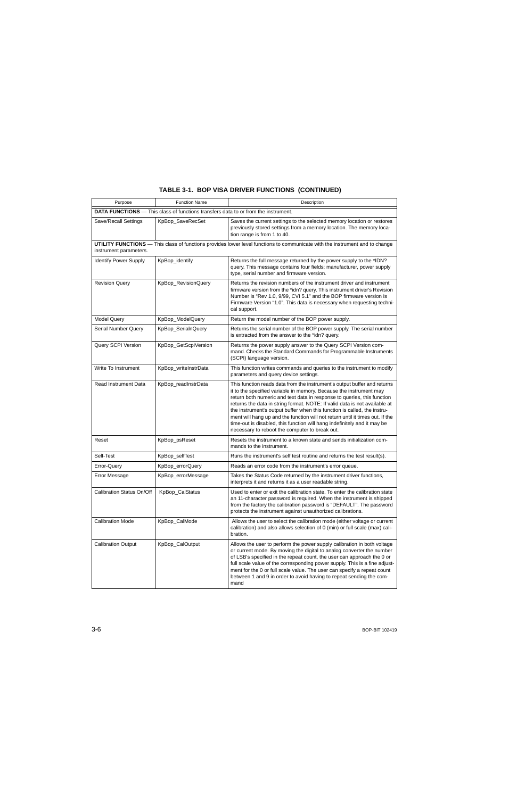|  |  |  |  |  | TABLE 3-1. BOP VISA DRIVER FUNCTIONS (CONTINUED) |
|--|--|--|--|--|--------------------------------------------------|
|--|--|--|--|--|--------------------------------------------------|

| Purpose                                                                                                                                               | <b>Function Name</b> | Description                                                                                                                                                                                                                                                                                                                                                                                                                                                                                                                                                                                        |  |
|-------------------------------------------------------------------------------------------------------------------------------------------------------|----------------------|----------------------------------------------------------------------------------------------------------------------------------------------------------------------------------------------------------------------------------------------------------------------------------------------------------------------------------------------------------------------------------------------------------------------------------------------------------------------------------------------------------------------------------------------------------------------------------------------------|--|
| <b>DATA FUNCTIONS</b> — This class of functions transfers data to or from the instrument.                                                             |                      |                                                                                                                                                                                                                                                                                                                                                                                                                                                                                                                                                                                                    |  |
| Save/Recall Settings                                                                                                                                  | KpBop_SaveRecSet     | Saves the current settings to the selected memory location or restores<br>previously stored settings from a memory location. The memory loca-<br>tion range is from 1 to 40.                                                                                                                                                                                                                                                                                                                                                                                                                       |  |
| UTILITY FUNCTIONS - This class of functions provides lower level functions to communicate with the instrument and to change<br>instrument parameters. |                      |                                                                                                                                                                                                                                                                                                                                                                                                                                                                                                                                                                                                    |  |
| <b>Identify Power Supply</b>                                                                                                                          | KpBop_identify       | Returns the full message returned by the power supply to the *IDN?<br>query. This message contains four fields: manufacturer, power supply<br>type, serial number and firmware version.                                                                                                                                                                                                                                                                                                                                                                                                            |  |
| <b>Revision Query</b>                                                                                                                                 | KpBop_RevisionQuery  | Returns the revision numbers of the instrument driver and instrument<br>firmware version from the *idn? query. This instrument driver's Revision<br>Number is "Rev 1.0, 9/99, CVI 5.1" and the BOP firmware version is<br>Firmware Version "1.0". This data is necessary when requesting techni-<br>cal support.                                                                                                                                                                                                                                                                                   |  |
| <b>Model Query</b>                                                                                                                                    | KpBop_ModelQuery     | Return the model number of the BOP power supply.                                                                                                                                                                                                                                                                                                                                                                                                                                                                                                                                                   |  |
| <b>Serial Number Query</b>                                                                                                                            | KpBop SerialnQuery   | Returns the serial number of the BOP power supply. The serial number<br>is extracted from the answer to the *idn? query.                                                                                                                                                                                                                                                                                                                                                                                                                                                                           |  |
| Query SCPI Version                                                                                                                                    | KpBop GetScpiVersion | Returns the power supply answer to the Query SCPI Version com-<br>mand. Checks the Standard Commands for Programmable Instruments<br>(SCPI) language version.                                                                                                                                                                                                                                                                                                                                                                                                                                      |  |
| Write To Instrument                                                                                                                                   | KpBop_writeInstrData | This function writes commands and queries to the instrument to modify<br>parameters and query device settings.                                                                                                                                                                                                                                                                                                                                                                                                                                                                                     |  |
| <b>Read Instrument Data</b>                                                                                                                           | KpBop_readInstrData  | This function reads data from the instrument's output buffer and returns<br>it to the specified variable in memory. Because the instrument may<br>return both numeric and text data in response to queries, this function<br>returns the data in string format. NOTE: If valid data is not available at<br>the instrument's output buffer when this function is called, the instru-<br>ment will hang up and the function will not return until it times out. If the<br>time-out is disabled, this function will hang indefinitely and it may be<br>necessary to reboot the computer to break out. |  |
| Reset                                                                                                                                                 | KpBop_psReset        | Resets the instrument to a known state and sends initialization com-<br>mands to the instrument.                                                                                                                                                                                                                                                                                                                                                                                                                                                                                                   |  |
| Self-Test                                                                                                                                             | KpBop_selfTest       | Runs the instrument's self test routine and returns the test result(s).                                                                                                                                                                                                                                                                                                                                                                                                                                                                                                                            |  |
| Error-Query                                                                                                                                           | KpBop_errorQuery     | Reads an error code from the instrument's error queue.                                                                                                                                                                                                                                                                                                                                                                                                                                                                                                                                             |  |
| <b>Error Message</b>                                                                                                                                  | KpBop_errorMessage   | Takes the Status Code returned by the instrument driver functions,<br>interprets it and returns it as a user readable string.                                                                                                                                                                                                                                                                                                                                                                                                                                                                      |  |
| Calibration Status On/Off                                                                                                                             | KpBop_CalStatus      | Used to enter or exit the calibration state. To enter the calibration state<br>an 11-character password is required. When the instrument is shipped<br>from the factory the calibration password is "DEFAULT". The password<br>protects the instrument against unauthorized calibrations.                                                                                                                                                                                                                                                                                                          |  |
| <b>Calibration Mode</b>                                                                                                                               | KpBop_CalMode        | Allows the user to select the calibration mode (either voltage or current<br>calibration) and also allows selection of 0 (min) or full scale (max) cali-<br>bration.                                                                                                                                                                                                                                                                                                                                                                                                                               |  |
| <b>Calibration Output</b>                                                                                                                             | KpBop_CalOutput      | Allows the user to perform the power supply calibration in both voltage<br>or current mode. By moving the digital to analog converter the number<br>of LSB's specified in the repeat count, the user can approach the 0 or<br>full scale value of the corresponding power supply. This is a fine adjust-<br>ment for the 0 or full scale value. The user can specify a repeat count<br>between 1 and 9 in order to avoid having to repeat sending the com-<br>mand                                                                                                                                 |  |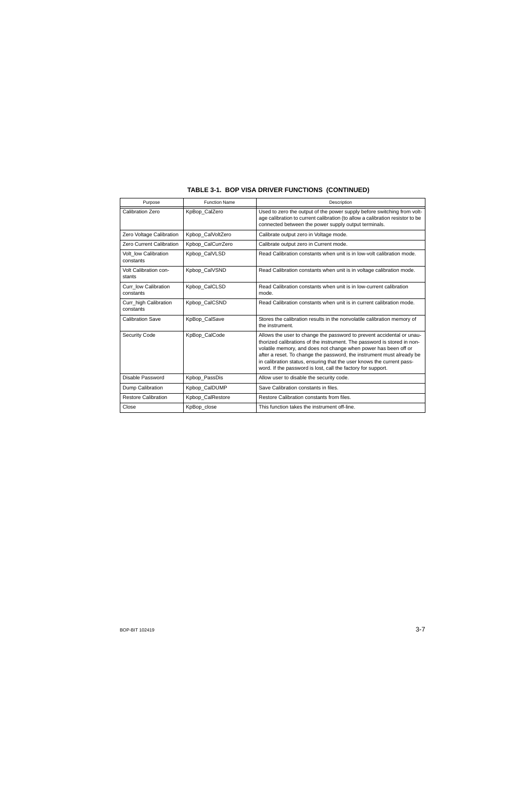| Purpose                            | <b>Function Name</b> | Description                                                                                                                                                                                                                                                                                                                                                                                                                           |
|------------------------------------|----------------------|---------------------------------------------------------------------------------------------------------------------------------------------------------------------------------------------------------------------------------------------------------------------------------------------------------------------------------------------------------------------------------------------------------------------------------------|
| <b>Calibration Zero</b>            | KpBop CalZero        | Used to zero the output of the power supply before switching from volt-<br>age calibration to current calibration (to allow a calibration resistor to be<br>connected between the power supply output terminals.                                                                                                                                                                                                                      |
| Zero Voltage Calibration           | Kpbop_CalVoltZero    | Calibrate output zero in Voltage mode.                                                                                                                                                                                                                                                                                                                                                                                                |
| Zero Current Calibration           | Kpbop_CalCurrZero    | Calibrate output zero in Current mode.                                                                                                                                                                                                                                                                                                                                                                                                |
| Volt low Calibration<br>constants  | Kpbop_CalVLSD        | Read Calibration constants when unit is in low-volt calibration mode.                                                                                                                                                                                                                                                                                                                                                                 |
| Volt Calibration con-<br>stants    | Kpbop_CalVSND        | Read Calibration constants when unit is in voltage calibration mode.                                                                                                                                                                                                                                                                                                                                                                  |
| Curr_low Calibration<br>constants  | Kpbop_CalCLSD        | Read Calibration constants when unit is in low-current calibration<br>mode.                                                                                                                                                                                                                                                                                                                                                           |
| Curr_high Calibration<br>constants | Kpbop_CalCSND        | Read Calibration constants when unit is in current calibration mode.                                                                                                                                                                                                                                                                                                                                                                  |
| <b>Calibration Save</b>            | KpBop_CalSave        | Stores the calibration results in the nonvolatile calibration memory of<br>the instrument.                                                                                                                                                                                                                                                                                                                                            |
| <b>Security Code</b>               | KpBop_CalCode        | Allows the user to change the password to prevent accidental or unau-<br>thorized calibrations of the instrument. The password is stored in non-<br>volatile memory, and does not change when power has been off or<br>after a reset. To change the password, the instrument must already be<br>in calibration status, ensuring that the user knows the current pass-<br>word. If the password is lost, call the factory for support. |
| Disable Password                   | Kpbop_PassDis        | Allow user to disable the security code.                                                                                                                                                                                                                                                                                                                                                                                              |
| Dump Calibration                   | Kpbop_CalDUMP        | Save Calibration constants in files.                                                                                                                                                                                                                                                                                                                                                                                                  |
| <b>Restore Calibration</b>         | Kpbop_CalRestore     | Restore Calibration constants from files.                                                                                                                                                                                                                                                                                                                                                                                             |
| Close                              | KpBop_close          | This function takes the instrument off-line.                                                                                                                                                                                                                                                                                                                                                                                          |

# **TABLE 3-1. BOP VISA DRIVER FUNCTIONS (CONTINUED)**